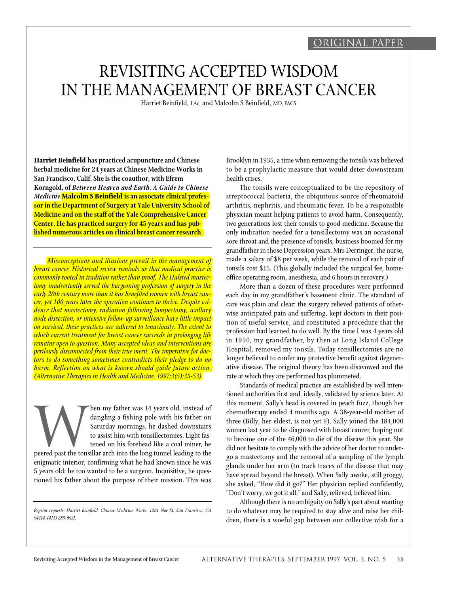# original paper

# REVISITING ACCEPTED WISDOM IN THE MANAGEMENT OF BREAST CANCER

Harriet Beinfield, LAc, and Malcolm S Beinfield, MD, FACS

**Harriet Beinfield has practiced acupuncture and Chinese herbal medicine for 24 years at Chinese Medicine Works in San Francisco, Calif. She is the coauthor, with Efrem Korngold, of** *Between Heaven and Earth: A Guide to Chinese Medicine.***Malcolm S Beinfield is an associate clinical professor in the Department of Surgery at Yale University School of Medicine and on the staff of the Yale Comprehensive Cancer Center. He has practiced surgery for 45 years and has published numerous articles on clinical breast cancer research.**

*Misconceptions and illusions prevail in the management of <i>breast cancer. Historical review reminds us that medical practice is commonly rooted in tradition rather than proof. The Halsted mastectomy inadvertently served the burgeoning profession of surgery in the early 20th century more than it has benefited women with breast cancer, yet 100 years later the operation continues to thrive. Despite evidence that mastectomy, radiation following lumpectomy, axillary node dissection, or intensive follow-up surveillance have little impact on survival, these practices are adhered to tenaciously. The extent to which current treatment for breast cancer succeeds in prolonging life remains open to question. Many accepted ideas and interventions are perilously disconnected from their true merit. The imperative for doctors to do something sometimes contradicts their pledge to do no harm. Reflection on what is known should guide future action. (Alternative Therapies in Health and Medicine. 1997;3(5):35-53)*

peered past the tons hen my father was 14 years old, instead of dangling a fishing pole with his father on Saturday mornings, he dashed downstairs to assist him with tonsillectomies. Light fastened on his forehead like a coal miner, he peered past the tonsillar arch into the long tunnel leading to the enigmatic interior, confirming what he had known since he was 5 years old: he too wanted to be a surgeon. Inquisitive, he questioned his father about the purpose of their mission. This was Brooklyn in 1935, a time when removing the tonsils was believed to be a prophylactic measure that would deter downstream health crises.

The tonsils were conceptualized to be the repository of streptococcal bacteria, the ubiquitous source of rheumatoid arthritis, nephritis, and rheumatic fever. To be a responsible physician meant helping patients to avoid harm. Consequently, two generations lost their tonsils to good medicine. Because the only indication needed for a tonsillectomy was an occasional sore throat and the presence of tonsils, business boomed for my grandfather in those Depression years. Mrs Derringer, the nurse, made a salary of \$8 per week, while the removal of each pair of tonsils cost \$15. (This globally included the surgical fee, homeoffice operating room, anesthesia, and 6 hours in recovery.)

More than a dozen of these procedures were performed each day in my grandfather's basement clinic. The standard of care was plain and clear: the surgery relieved patients of otherwise anticipated pain and suffering, kept doctors in their position of useful service, and constituted a procedure that the profession had learned to do well. By the time I was 4 years old in 1950, my grandfather, by then at Long Island College Hospital, removed my tonsils. Today tonsillectomies are no longer believed to confer any protective benefit against degenerative disease. The original theory has been disavowed and the rate at which they are performed has plummeted.

Standards of medical practice are established by well intentioned authorities first and, ideally, validated by science later. At this moment, Sally's head is covered in peach fuzz, though her chemotherapy ended 4 months ago. A 38-year-old mother of three (Billy, her eldest, is not yet 9), Sally joined the 184,000 women last year to be diagnosed with breast cancer, hoping not to become one of the 46,000 to die of the disease this year. She did not hesitate to comply with the advice of her doctor to undergo a mastectomy and the removal of a sampling of the lymph glands under her arm (to track traces of the disease that may have spread beyond the breast). When Sally awoke, still groggy, she asked, "How did it go?" Her physician replied confidently, " Don't worry, we got it all," and Sally, relieved, believed him.

Although there is no ambiguity on Sally's part about wanting to do whatever may be required to stay alive and raise her children, there is a woeful gap between our collective wish for a

*Reprint requests: Harriet Beinfield, Chinese Medicine Works, 1201 Noe St, San Francisco, CA 94114, (415) 285-0931.*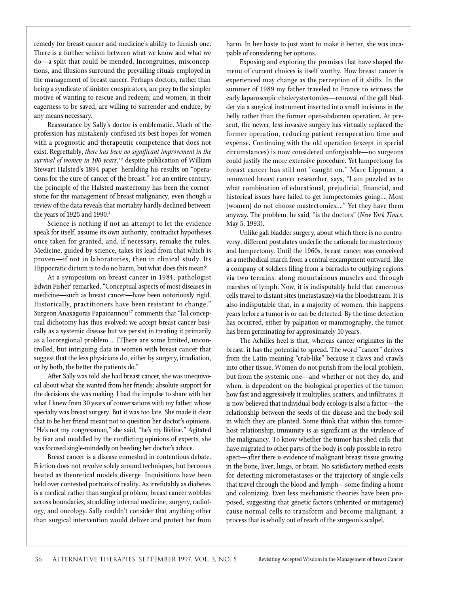remedy for breast cancer and medicine's ability to furnish one. There is a further schism between what we know and what we do—a split that could be mended. Incongruities, misconceptions, and illusions surround the prevailing rituals employed in the management of breast cancer. Perhaps doctors, rather than being a syndicate of sinister conspirators, are prey to the simpler motive of wanting to rescue and redeem; and women, in their eagerness to be saved, are willing to surrender and endure, by any means necessary.

Reassurance by Sally's doctor is emblematic. Much of the p rofession has mistakenly confused its best hopes for women with a prognostic and therapeutic competence that does not exist. Regrettably, *there has been no significant improvement in the* survival of women in 100 years,<sup>12</sup> despite publication of William Stewart Halsted's 1894 paper<sup>3</sup> heralding his results on "operations for the cure of cancer of the breast." For an entire century, the principle of the Halsted mastectomy has been the cornerstone for the management of breast malignancy, even though a review of the data reveals that mortality hardly declined between the years of 1925 and 1990. $4$ 

Science is nothing if not an attempt to let the evidence speak for itself, assume its own authority, contradict hypotheses once taken for granted, and, if necessary, remake the rules. Medicine, guided by science, takes its lead from that which is proven-if not in laboratories, then in clinical study. Its Hippocratic dictum is to do no harm, but what does this mean?

At a symposium on breast cancer in 1984, pathologist Edwin Fisher<sup>5</sup> remarked, "Conceptual aspects of most diseases in medicine—such as breast cancer—have been notoriously rigid. Historically, practitioners have been resistant to change." Surgeon Anaxagoras Papaioannou<sup>6,7</sup> comments that "[a] conceptual dichotomy has thus evolved: we accept breast cancer basically as a systemic disease but we persist in treating it primarily as a locoregional problem.... [T] here are some limited, uncontrolled, but intriguing data in women with breast cancer that suggest that the less physicians do, either by surgery, irradiation, or by both, the better the patients do."

After Sally was told she had breast cancer, she was unequivocal about what she wanted from her friends: absolute support for the decisions she was making. I had the impulse to share with her what I knew from 30 years of conversations with my father, whose specialty was breast surgery. But it was too late. She made it clear that to be her friend meant not to question her doctor's opinions. "He's not my congressman," she said, "he's my lifeline." Agitated by fear and muddled by the conflicting opinions of experts, she was focused single-mindedly on heeding her doctor's advice.

Breast cancer is a disease enmeshed in contentious debate. Friction does not revolve solely around techniques, but becomes heated as theoretical models diverge. Inquisitions have been held over contested portraits of reality. As irrefutably as diabetes is a medical rather than surgical problem, breast cancer wobbles across boundaries, straddling internal medicine, surgery, radiology, and oncology. Sally couldn't consider that anything other than surgical intervention would deliver and protect her from

harm. In her haste to just want to make it better, she was incapable of considering her options.

Exposing and exploring the premises that have shaped the menu of current choices is itself worthy. How breast cancer is experienced may change as the perception of it shifts. In the summer of 1989 my father traveled to France to witness the early laparoscopic cholecystectomies—removal of the gall bladder via a surgical instrument inserted into small incisions in the belly rather than the former open-abdomen operation. At present, the newer, less invasive surgery has virtually replaced the former operation, reducing patient recuperation time and expense. Continuing with the old operation (except in special circumstances) is now considered unforgivable-no surgeons could justify the more extensive procedure. Yet lumpectomy for breast cancer has still not "caught on." Marc Lippman, a renowned breast cancer researcher, says, "I am puzzled as to what combination of educational, prejudicial, financial, and historical issues have failed to get lumpectomies going.… Most [women] do not choose mastectomies.…" Yet they have them anyway. The problem, he said, "is the doctors" (*New York Times*. May 5, 1993).

Unlike gall bladder surgery, about which there is no controversy, different postulates underlie the rationale for mastectomy and lumpectomy. Until the 1960s, breast cancer was conceived as a methodical march from a central encampment outward, like a company of soldiers filing from a barracks to outlying regions via two terrains: along mountainous muscles and through marshes of lymph. Now, it is indisputably held that cancerous cells travel to distant sites (metastasize) via the bloodstream. It is also indisputable that, in a majority of women, this happens years before a tumor is or can be detected. By the time detection has occurred, either by palpation or mammography, the tumor has been germinating for approximately 10 years.

The Achilles heel is that, whereas cancer originates in the breast, it has the potential to spread. The word "cancer" derives from the Latin meaning "crab-like" because it claws and crawls into other tissue. Women do not perish from the local problem, but from the systemic one—and whether or not they do, and when, is dependent on the biological properties of the tumor: how fast and aggressively it multiplies, scatters, and infiltrates. It is now believed that individual body ecology is also a factor—the relationship between the seeds of the disease and the body-soil in which they are planted. Some think that within this tumorhost relationship, immunity is as significant as the virulence of the malignancy. To know whether the tumor has shed cells that have migrated to other parts of the body is only possible in retrospect—after there is evidence of malignant breast tissue growing in the bone, liver, lungs, or brain. No satisfactory method exists for detecting micrometastases or the trajectory of single cells that travel through the blood and lymph—some finding a home and colonizing. Even less mechanistic theories have been proposed, suggesting that genetic factors (inherited or mutagenic) cause normal cells to transform and become malignant, a process that is wholly out of reach of the surgeon's scalpel.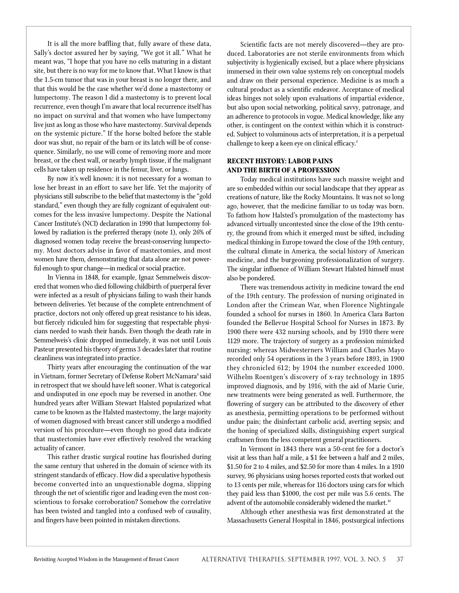It is all the more baffling that, fully aware of these data, Sally's doctor assured her by saying, "We got it all." What he meant was, "I hope that you have no cells maturing in a distant site, but there is no way for me to know that. What I know is that the 1.5-cm tumor that was in your breast is no longer there, and that this would be the case whether we'd done a mastectomy or lumpectomy. The reason I did a mastectomy is to prevent local recurrence, even though I'm aware that local recurrence itself has no impact on survival and that women who have lumpectomy live just as long as those who have mastectomy. Survival depends on the systemic picture." If the horse bolted before the stable door was shut, no repair of the barn or its latch will be of consequence. Similarly, no use will come of removing more and more breast, or the chest wall, or nearby lymph tissue, if the malignant cells have taken up residence in the femur, liver, or lungs.

By now it's well known: it is not necessary for a woman to lose her breast in an effort to save her life. Yet the majority of physicians still subscribe to the belief that mastectomy is the "gold standard," even though they are fully cognizant of equivalent outcomes for the less invasive lumpectomy. Despite the National Cancer Institute's (NCI) declaration in 1990 that lumpectomy followed by radiation is the preferred therapy (note 1), only 26% of diagnosed women today receive the breast-conserving lumpectomy. Most doctors advise in favor of mastectomies, and most women have them, demonstrating that data alone are not powerful enough to spur change—in medical or social practice.

In Vienna in 1848, for example, Ignaz Semmelweis discove red that women who died following childbirth of puerperal fever were infected as a result of physicians failing to wash their hands between deliveries. Yet because of the complete entrenchment of practice, doctors not only offered up great resistance to his ideas, but fiercely ridiculed him for suggesting that respectable physicians needed to wash their hands. Even though the death rate in Semmelweis's clinic dropped immediately, it was not until Louis Pasteur presented his theory of germs 3 decades later that routine cleanliness was integrated into practice.

Thirty years after encouraging the continuation of the war in Vietnam, former Secretary of Defense Robert McNamara 8 said in retrospect that we should have left sooner. What is categorical and undisputed in one epoch may be reversed in another. One hundred years after William Stewart Halsted popularized what came to be known as the Halsted mastectomy, the large majority of women diagnosed with breast cancer still undergo a modified version of his procedure—even though no good data indicate that mastectomies have ever effectively resolved the wracking actuality of cancer.

This rather drastic surgical routine has flourished during the same century that ushered in the domain of science with its stringent standards of efficacy. How did a speculative hypothesis become converted into an unquestionable dogma, slipping through the net of scientific rigor and leading even the most conscientious to forsake corroboration? Somehow the correlative has been twisted and tangled into a confused web of causality, and fingers have been pointed in mistaken directions.

Scientific facts are not merely discovered—they are produced. Laboratories are not sterile environments from which subjectivity is hygienically excised, but a place where physicians immersed in their own value systems rely on conceptual models and draw on their personal experience. Medicine is as much a cultural product as a scientific endeavor. Acceptance of medical ideas hinges not solely upon evaluations of impartial evidence, but also upon social networking, political savvy, patronage, and an adherence to protocols in vogue. Medical knowledge, like any other, is contingent on the context within which it is constructed. Subject to voluminous acts of interpretation, it is a perpetual challenge to keep a keen eye on clinical efficacy.<sup>9</sup>

# **RECENT HISTORY: LABOR PAINS AND THE BIRTH OF A PROFESSION**

Today medical institutions have such massive weight and are so embedded within our social landscape that they appear as creations of nature, like the Rocky Mountains. It was not so long ago, however, that the medicine familiar to us today was born. To fathom how Halsted's promulgation of the mastectomy has advanced virtually uncontested since the close of the 19th century, the ground from which it emerged must be sifted, including medical thinking in Europe toward the close of the 19th century, the cultural climate in America, the social history of American medicine, and the burgeoning professionalization of surgery. The singular influence of William Stewart Halsted himself must also be pondered.

There was tremendous activity in medicine toward the end of the 19th century. The profession of nursing originated in London after the Crimean War, when Florence Nightingale founded a school for nurses in 1860. In America Clara Barton founded the Bellevue Hospital School for Nurses in 1873. By 1900 there were 432 nursing schools, and by 1910 there were 1129 more. The trajectory of surgery as a profession mimicked nursing: whereas Midwesterners William and Charles Mayo recorded only 54 operations in the 3 years before 1893, in 1900 they chronicled 612; by 1904 the number exceeded 1000. Wilhelm Roentgen's discovery of x-ray technology in 1895 improved diagnosis, and by 1916, with the aid of Marie Curie, new treatments were being generated as well. Furthermore, the flowering of surgery can be attributed to the discovery of ether as anesthesia, permitting operations to be performed without undue pain; the disinfectant carbolic acid, averting sepsis; and the honing of specialized skills, distinguishing expert surgical craftsmen from the less competent general practitioners.

In Vermont in 1843 there was a 50-cent fee for a doctor's visit at less than half a mile, a \$1 fee between a half and 2 miles, \$1.50 for 2 to 4 miles, and \$2.50 for more than 4 miles. In a 1910 survey, 96 physicians using horses reported costs that worked out to 13 cents per mile, whereas for 116 doctors using cars for which they paid less than \$1000, the cost per mile was 5.6 cents. The advent of the automobile considerably widened the market.<sup>10</sup>

Although ether anesthesia was first demonstrated at the Massachusetts General Hospital in 1846, postsurgical infections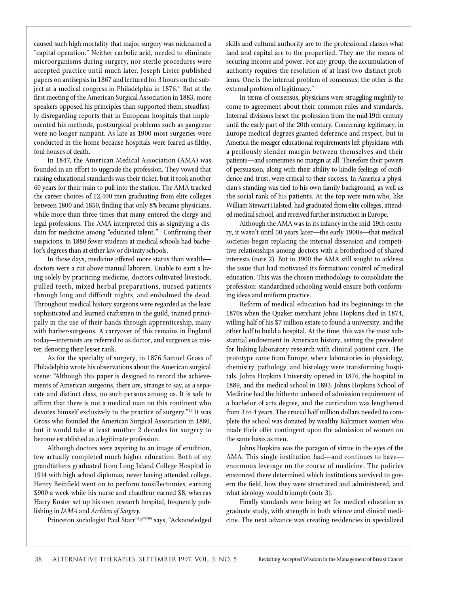caused such high mortality that major surgery was nicknamed a "capital operation." Neither carbolic acid, needed to eliminate microorganisms during surgery, nor sterile procedures were accepted practice until much later. Joseph Lister published papers on antisepsis in 1867 and lectured for 3 hours on the subject at a medical congress in Philadelphia in 1876.<del>''</del> But at the first meeting of the American Surgical Association in 1883, more speakers opposed his principles than supported them, steadfastly disregarding reports that in European hospitals that implemented his methods, postsurgical problems such as gangrene were no longer rampant. As late as 1900 most surgeries were conducted in the home because hospitals were feared as filthy, foul houses of death.

In 1847, the American Medical Association (AMA) was founded in an effort to upgrade the profession. They vowed that raising educational standards was their ticket, but it took another 60 years for their train to pull into the station. The AMA tracked the career choices of 12,400 men graduating from elite colleges between 1800 and 1850, finding that only 8% became physicians, while more than three times that many entered the clergy and legal professions. The AMA interpreted this as signifying a disdain for medicine among "educated talent."<sup>10</sup> Confirming their suspicions, in 1880 fewer students at medical schools had bachelor's degrees than at either law or divinity schools.

In those days, medicine offered more status than wealth doctors were a cut above manual laborers. Unable to earn a living solely by practicing medicine, doctors cultivated livestock, pulled teeth, mixed herbal preparations, nursed patients through long and difficult nights, and embalmed the dead. Throughout medical history surgeons were regarded as the least sophisticated and learned craftsmen in the guild, trained principally in the use of their hands through apprenticeship, many with barber-surgeons. A carryover of this remains in England today—internists are referred to as doctor, and surgeons as mister, denoting their lesser rank.

As for the specialty of surgery, in 1876 Samuel Gross of Philadelphia wrote his observations about the American surgical scene: "Although this paper is designed to record the achievements of American surgeons, there are, strange to say, as a separate and distinct class, no such persons among us. It is safe to affirm that there is not a medical man on this continent who devotes himself exclusively to the practice of surgery."<sup>12</sup> It was Gross who founded the American Surgical Association in 1880, but it would take at least another 2 decades for surgery to become established as a legitimate profession.

Although doctors were aspiring to an image of erudition, few actually completed much higher education. Both of my grandfathers graduated from Long Island College Hospital in 1914 with high school diplomas, never having attended college. Henry Beinfield went on to perform tonsillectomies, earning \$900 a week while his nurse and chauffeur earned \$8, whereas Harry Koster set up his own research hospital, frequently publishing in *JAMA* and *Archives of Surgery.*

Princeton sociologist Paul Starr<sup>10(pp79,80)</sup> says, "Acknowledged

skills and cultural authority are to the professional classes what land and capital are to the propertied. They are the means of securing income and power. For any group, the accumulation of authority requires the resolution of at least two distinct problems. One is the internal problem of consensus; the other is the external problem of legitimacy."

In terms of consensus, physicians were struggling mightily to come to agreement about their common rules and standards. Internal divisions beset the profession from the mid-19th century until the early part of the 20th century. Concerning legitimacy, in Europe medical degrees granted deference and respect, but in America the meager educational requirements left physicians with a perilously slender margin between themselves and their patients—and sometimes no margin at all. Therefore their powers of persuasion, along with their ability to kindle feelings of confidence and trust, were critical to their success. In America a physician's standing was tied to his own family background, as well as the social rank of his patients. At the top were men who, like William Stewart Halsted, had graduated from elite colleges, attended medical school, and received further instruction in Europe.

Although the AMA was in its infancy in the mid-19th century, it wasn't until 50 years later—the early 1900s—that medical societies began replacing the internal dissension and competitive relationships among doctors with a brotherhood of shared interests (note 2). But in 1900 the AMA still sought to address the issue that had motivated its formation: control of medical education. This was the chosen methodology to consolidate the profession: standardized schooling would ensure both conforming ideas and uniform practice.

Reform of medical education had its beginnings in the 1870s when the Quaker merchant Johns Hopkins died in 1874, willing half of his \$7 million estate to found a university, and the other half to build a hospital. At the time, this was the most substantial endowment in American history, setting the precedent for linking laboratory research with clinical patient care. The prototype came from Europe, where laboratories in physiology, chemistry, pathology, and histology were transforming hospitals. Johns Hopkins University opened in 1876, the hospital in 1889, and the medical school in 1893. Johns Hopkins School of Medicine had the hitherto unheard of admission requirement of a bachelor of arts degree, and the curriculum was lengthened from 3 to 4 years. The crucial half million dollars needed to complete the school was donated by wealthy Baltimore women who made their offer contingent upon the admission of women on the same basis as men.

Johns Hopkins was the paragon of virtue in the eyes of the AMA. This single institution had—and continues to haveenormous leverage on the course of medicine. The policies ensconced there determined which institutions survived to govern the field, how they were structured and administered, and what ideology would triumph (note 3).

Finally standards were being set for medical education as graduate study, with strength in both science and clinical medicine. The next advance was creating residencies in specialized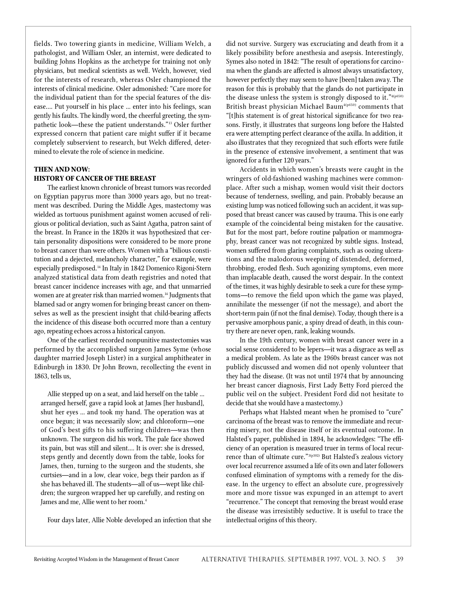fields. Two towering giants in medicine, William Welch, a pathologist, and William Osler, an internist, were dedicated to building Johns Hopkins as the archetype for training not only physicians, but medical scientists as well. Welch, however, vied for the interests of research, whereas Osler championed the interests of clinical medicine. Osler admonished: "Care more for the individual patient than for the special features of the disease.… Put yourself in his place … enter into his feelings, scan gently his faults. The kindly word, the cheerful greeting, the sympathetic look—these the patient understands."<sup>13</sup> Osler further expressed concern that patient care might suffer if it became completely subservient to research, but Welch differed, determined to elevate the role of science in medicine.

# **THEN AND NOW: HISTORY OF CANCER OF THE BREAST**

The earliest known chronicle of breast tumors was recorded on Egyptian papyrus more than 3000 years ago, but no treatment was described. During the Middle Ages, mastectomy was wielded as tortuous punishment against women accused of religious or political deviation, such as Saint Agatha, patron saint of the breast. In France in the 1820s it was hypothesized that certain personality dispositions were considered to be more prone to breast cancer than were others. Women with a "bilious constitution and a dejected, melancholy character," for example, were especially predisposed.<sup>14</sup> In Italy in 1842 Domenico Rigoni-Stern analyzed statistical data from death registries and noted that breast cancer incidence increases with age, and that unmarried women are at greater risk than married women.<sup>14</sup> Judgments that blamed sad or angry women for bringing breast cancer on themselves as well as the prescient insight that child-bearing affects the incidence of this disease both occurred more than a century ago, repeating echoes across a historical canyon.

One of the earliest recorded nonpunitive mastectomies was performed by the accomplished surgeon James Syme (whose daughter married Joseph Lister) in a surgical amphitheater in Edinburgh in 1830. Dr John Brown, recollecting the event in 1863, tells us,

Allie stepped up on a seat, and laid herself on the table … arranged herself, gave a rapid look at James [her husband], shut her eyes … and took my hand. The operation was at once begun; it was necessarily slow; and chloroform-one of God's best gifts to his suffering children—was then unknown. The surgeon did his work. The pale face showed its pain, but was still and silent.… It is over: she is dressed, steps gently and decently down from the table, looks for James, then, turning to the surgeon and the students, she curtsies—and in a low, clear voice, begs their pardon as if she has behaved ill. The students—all of us—wept like children; the surgeon wrapped her up carefully, and resting on James and me, Allie went to her room.<sup>4</sup>

Four days later, Allie Noble developed an infection that she

did not survive. Surgery was excruciating and death from it a likely possibility before anesthesia and asepsis. Interestingly, Symes also noted in 1842: "The result of operations for carcinoma when the glands are affected is almost always unsatisfactory, however perfectly they may seem to have [been] taken awa y. The reason for this is probably that the glands do not participate in the disease unless the system is strongly disposed to it."4(p650) British breast physician Michael Baum<sup>4(p650)</sup> comments that "[t]his statement is of great historical significance for two reasons. Firstly, it illustrates that surgeons long before the Halsted era were attempting perfect clearance of the axilla. In addition, it also illustrates that they recognized that such efforts were futile in the presence of extensive involvement, a sentiment that was ignored for a further 120 years."

Accidents in which women's breasts were caught in the wringers of old-fashioned washing machines were commonplace. After such a mishap, women would visit their doctors because of tenderness, swelling, and pain. Probably because an existing lump was noticed following such an accident, it was supposed that breast cancer was caused by trauma. This is one early example of the coincidental being mistaken for the causative. But for the most part, before routine palpation or mammography, breast cancer was not recognized by subtle signs. Instead, women suffered from glaring complaints, such as oozing ulcerations and the malodorous weeping of distended, deformed, throbbing, eroded flesh. Such agonizing symptoms, even more than implacable death, caused the worst despair. In the context of the times, it was highly desirable to seek a cure for these symptoms—to remove the field upon which the game was played, annihilate the messenger (if not the message), and abort the short-term pain (if not the final demise). Today, though there is a pervasive amorphous panic, a spiny dread of death, in this country there are never open, rank, leaking wounds.

In the 19th century, women with breast cancer were in a social sense considered to be lepers—it was a disgrace as well as a medical problem. As late as the 1960s breast cancer was not publicly discussed and women did not openly volunteer that they had the disease. (It was not until 1974 that by announcing her breast cancer diagnosis, First Lady Betty Ford pierced the public veil on the subject. President Ford did not hesitate to decide that she would have a mastectomy.)

Perhaps what Halsted meant when he promised to "cure" carcinoma of the breast was to remove the immediate and recurring misery, not the disease itself or its eventual outcome. In Halsted's paper, published in 1894, he acknowledges: "The efficiency of an operation is measured truer in terms of local recurrence than of ultimate cure."<sup>3(p302)</sup> But Halsted's zealous victory over local recurrence assumed a life of its own and later followers confused elimination of symptoms with a remedy for the disease. In the urgency to effect an absolute cure, progressively more and more tissue was expunged in an attempt to avert "recurrence." The concept that removing the breast would erase the disease was irresistibly seductive. It is useful to trace the intellectual origins of this theory.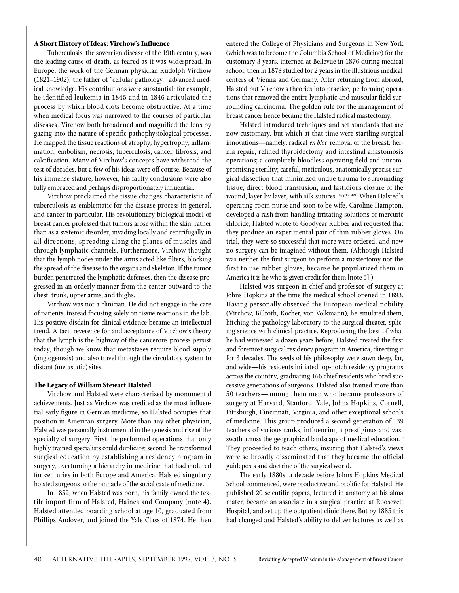#### **A Short History of Ideas: Virchow's Influence**

Tuberculosis, the sovereign disease of the 19th century, was the leading cause of death, as feared as it was widespread. In Europe, the work of the German physician Rudolph Virchow  $(1821–1902)$ , the father of "cellular pathology," advanced medical knowledge. His contributions were substantial; for example, he identified leukemia in 1845 and in 1846 articulated the process by which blood clots become obstructive. At a time when medical focus was narrowed to the courses of particular diseases, Virchow both broadened and magnified the lens by gazing into the nature of specific pathophysiological processes. He mapped the tissue reactions of atrophy, hypertrophy, inflammation, embolism, necrosis, tuberculosis, cancer, fibrosis, and calcification. Many of Virchow's concepts have withstood the test of decades, but a few of his ideas were off course. Because of his immense stature, however, his faulty conclusions were also fully embraced and perhaps disproportionately influential.

Virchow proclaimed the tissue changes characteristic of tuberculosis as emblematic for the disease process in general, and cancer in particular. His revolutionary biological model of breast cancer professed that tumors arose within the skin, rather than as a systemic disorder, invading locally and centrifugally in all directions, spreading along the planes of muscles and through lymphatic channels. Furthermore, Virchow thought that the lymph nodes under the arms acted like filters, blocking the spread of the disease to the organs and skeleton. If the tumor burden penetrated the lymphatic defenses, then the disease progressed in an orderly manner from the center outward to the chest, trunk, upper arms, and thighs.

Virchow was not a clinician. He did not engage in the care of patients, instead focusing solely on tissue reactions in the lab. His positive disdain for clinical evidence became an intellectual trend. A tacit reverence for and acceptance of Virchow's theory that the lymph is the highway of the cancerous process persist today, though we know that metastases require blood supply (angiogenesis) and also travel through the circulatory system to distant (metastatic) sites.

#### **The Legacy of William Stewart Halsted**

Virchow and Halsted were characterized by monumental achievements. Just as Virchow was credited as the most influential early figure in German medicine, so Halsted occupies that position in American surgery. More than any other physician, Halsted was personally instrumental in the genesis and rise of the specialty of surgery. First, he performed operations that only highly trained specialists could duplicate; second, he transformed surgical education by establishing a residency program in surgery, overturning a hierarchy in medicine that had endured for centuries in both Europe and America. Halsted singularly hoisted surgeons to the pinnacle of the social caste of medicine.

In 1852, when Halsted was born, his family owned the textile import firm of Halsted, Haines and Company (note 4). Halsted attended boarding school at age 10, graduated from Phillips Andover, and joined the Yale Class of 1874. He then entered the College of Physicians and Surgeons in New York (which was to become the Columbia School of Medicine) for the customary 3 years, interned at Bellevue in 1876 during medical school, then in 1878 studied for 2 years in the illustrious medical centers of Vienna and Germany. After returning from abroad, Halsted put Virchow's theories into practice, performing operations that removed the entire lymphatic and muscular field surrounding carcinoma. The golden rule for the management of breast cancer hence became the Halsted radical mastectomy.

Halsted introduced techniques and set standards that are now customary, but which at that time were startling surgical innovations—namely, radical *en bloc* removal of the breast; hernia repair; refined thyroidectomy and intestinal anastomosis operations; a completely bloodless operating field and uncompromising sterility; careful, meticulous, anatomically precise surgical dissection that minimized undue trauma to surrounding tissue; direct blood transfusion; and fastidious closure of the wound, layer by layer, with silk sutures.<sup>11(pp386-421)</sup> When Halsted's operating room nurse and soon-to-be wife, Caroline Hampton, developed a rash from handling irritating solutions of mercuric chloride, Halsted wrote to Goodyear Rubber and requested that they produce an experimental pair of thin rubber gloves. On trial, they were so successful that more were ordered, and now no surgery can be imagined without them. (Although Halsted was neither the first surgeon to perform a mastectomy nor the first to use rubber gloves, because he popularized them in America it is he who is given credit for them [note 5].)

Halsted was surgeon-in-chief and professor of surgery at Johns Hopkins at the time the medical school opened in 1893. Having personally observed the European medical nobility (Virchow, Billroth, Kocher, von Volkmann), he emulated them, hitching the pathology laboratory to the surgical theater, splicing science with clinical practice. Reproducing the best of what he had witnessed a dozen years before, Halsted created the first and foremost surgical residency program in America, directing it for 3 decades. The seeds of his philosophy were sown deep, far, and wide—his residents initiated top-notch residency programs across the country, graduating 166 chief residents who bred successive generations of surgeons. Halsted also trained more than 50 teachers—among them men who became professors of surgery at Harvard, Stanford, Yale, Johns Hopkins, Cornell, Pittsburgh, Cincinnati, Virginia, and other exceptional schools of medicine. This group produced a second generation of 139 teachers of various ranks, influencing a prestigious and vast swath across the geographical landscape of medical education.<sup>15</sup> They proceeded to teach others, insuring that Halsted's views were so broadly disseminated that they became the official guideposts and doctrine of the surgical world.

The early 1880s, a decade before Johns Hopkins Medical School commenced, were productive and prolific for Halsted. He published 20 scientific papers, lectured in anatomy at his alma mater, became an associate in a surgical practice at Roosevelt Hospital, and set up the outpatient clinic there. But by 1885 this had changed and Halsted's ability to deliver lectures as well as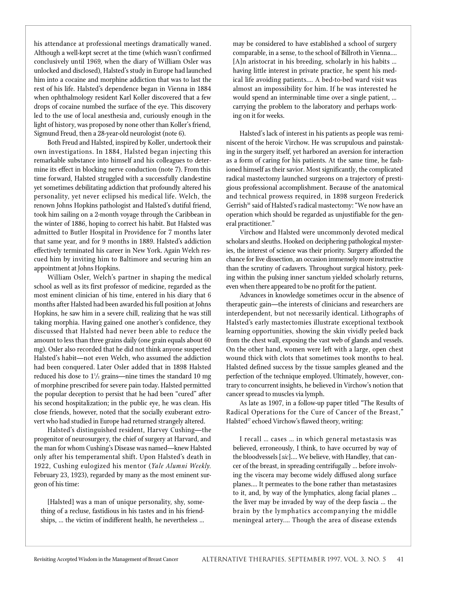his attendance at professional meetings dramatically waned. Although a well-kept secret at the time (which wasn't confirmed conclusively until 1969, when the diary of William Osler was unlocked and disclosed), Halsted's study in Europe had launched him into a cocaine and morphine addiction that was to last the rest of his life. Halsted's dependence began in Vienna in 1884 when ophthalmology resident Karl Koller discovered that a few drops of cocaine numbed the surface of the eye. This discovery led to the use of local anesthesia and, curiously enough in the light of history, was proposed by none other than Koller's friend, Sigmund Freud, then a 28-year-old neurologist (note 6).

Both Freud and Halsted, inspired by Koller, undertook their own investigations. In 1884, Halsted began injecting this remarkable substance into himself and his colleagues to determine its effect in blocking nerve conduction (note 7). From this time forward, Halsted struggled with a successfully clandestine yet sometimes debilitating addiction that profoundly altered his personality, yet never eclipsed his medical life. Welch, the renown Johns Hopkins pathologist and Halsted's dutiful friend, took him sailing on a 2-month voyage through the Caribbean in the winter of 1886, hoping to correct his habit. But Halsted was admitted to Butler Hospital in Providence for 7 months later that same year, and for 9 months in 1889. Halsted's addiction effectively terminated his career in New York. Again Welch rescued him by inviting him to Baltimore and securing him an appointment at Johns Hopkins.

William Osler, Welch's partner in shaping the medical school as well as its first professor of medicine, regarded as the most eminent clinician of his time, entered in his diary that 6 months after Halsted had been awarded his full position at Johns Hopkins, he saw him in a severe chill, realizing that he was still taking morphia. Having gained one another's confidence, they discussed that Halsted had never been able to reduce the amount to less than three grains daily (one grain equals about 60 mg). Osler also recorded that he did not think anyone suspected Halsted's habit—not even Welch, who assumed the addiction had been conquered. Later Osler added that in 1898 Halsted reduced his dose to  $1\frac{1}{2}$  grains—nine times the standard  $10~\mathrm{mg}$ of morphine prescribed for severe pain today. Halsted permitted the popular deception to persist that he had been "cured" after his second hospitalization; in the public eye, he was clean. His close friends, however, noted that the socially exuberant extrovert who had studied in Europe had returned strangely altered.

Halsted's distinguished resident, Harvey Cushing-the progenitor of neurosurgery, the chief of surgery at Harvard, and the man for whom Cushing's Disease was named—knew Halsted only after his temperamental shift. Upon Halsted's death in 1922, Cushing eulogized his mentor (*Yale Alumni Weekly*. February 23, 1923), regarded by many as the most eminent surgeon of his time:

[Halsted] was a man of unique personality, shy, something of a recluse, fastidious in his tastes and in his friendships, … the victim of indifferent health, he nevertheless … may be considered to have established a school of surgery comparable, in a sense, to the school of Billroth in Vienna.… [A]n aristocrat in his breeding, scholarly in his habits … having little interest in private practice, he spent his medical life avoiding patients.... A bed-to-bed ward visit was almost an impossibility for him. If he was interested he would spend an interminable time over a single patient, … carrying the problem to the laboratory and perhaps working on it for weeks.

Halsted's lack of interest in his patients as people was reminiscent of the heroic Virchow. He was scrupulous and painstaking in the surgery itself, yet harbored an aversion for interaction as a form of caring for his patients. At the same time, he fashioned himself as their savior. Most significantly, the complicated radical mastectomy launched surgeons on a trajectory of prestigious professional accomplishment. Because of the anatomical and technical prowess required, in 1898 surgeon Frederick Gerrish<sup>16</sup> said of Halsted's radical mastectomy: "We now have an operation which should be regarded as unjustifiable for the general practitioner."

Virchow and Halsted were uncommonly devoted medical scholars and sleuths. Hooked on deciphering pathological mysteries, the interest of science was their priority. Surgery afforded the chance for live dissection, an occasion immensely more instructive than the scrutiny of cadavers. Throughout surgical history, peeking within the pulsing inner sanctum yielded scholarly returns, even when there appeared to be no profit for the patient.

Advances in knowledge sometimes occur in the absence of therapeutic gain—the interests of clinicians and researchers are interdependent, but not necessarily identical. Lithographs of Halsted's early mastectomies illustrate exceptional textbook learning opportunities, showing the skin vividly peeled back from the chest wall, exposing the vast web of glands and vessels. On the other hand, women were left with a large, open chest wound thick with clots that sometimes took months to heal. Halsted defined success by the tissue samples gleaned and the perfection of the technique employed. Ultimately, however, contrary to concurrent insights, he believed in Virchow's notion that cancer spread to muscles via lymph.

As late as 1907, in a follow-up paper titled "The Results of Radical Operations for the Cure of Cancer of the Breast," Halsted<sup>17</sup> echoed Virchow's flawed theory, writing:

I recall … cases … in which general metastasis was believed, erroneously, I think, to have occurred by way of the bloodvessels [*sic*].… We believe, with Handley, that cancer of the breast, in spreading centrifugally … before involving the viscera may become widely diffused along surface planes.… It permeates to the bone rather than metastasizes to it, and, by way of the lymphatics, along facial planes … the liver may be invaded by way of the deep fascia … the brain by the lymphatics accompanying the middle meningeal artery.... Though the area of disease extends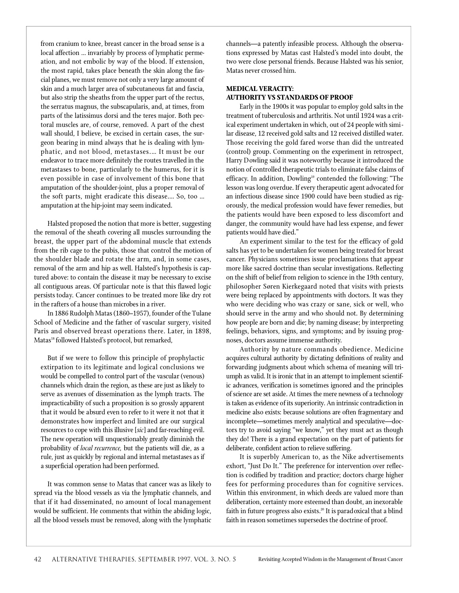from cranium to knee, breast cancer in the broad sense is a local affection … invariably by process of lymphatic permeation, and not embolic by way of the blood. If extension, the most rapid, takes place beneath the skin along the fascial planes, we must remove not only a very large amount of skin and a much larger area of subcutaneous fat and fascia, but also strip the sheaths from the upper part of the rectus, the serratus magnus, the subscapularis, and, at times, from parts of the latissimus dorsi and the teres major. Both pectoral muscles are, of course, removed. A part of the chest wall should, I believe, be excised in certain cases, the surgeon bearing in mind always that he is dealing with lymphatic, and not blood, metastases.... It must be our endeavor to trace more definitely the routes travelled in the metastases to bone, particularly to the humerus, for it is even possible in case of involvement of this bone that amputation of the shoulder-joint, plus a proper removal of the soft parts, might eradicate this disease.... So, too ... amputation at the hip-joint may seem indicated.

Halsted proposed the notion that more is better, suggesting the removal of the sheath covering all muscles surrounding the breast, the upper part of the abdominal muscle that extends from the rib cage to the pubis, those that control the motion of the shoulder blade and rotate the arm, and, in some cases, removal of the arm and hip as well. Halsted's hypothesis is captured above: to contain the disease it may be necessary to excise all contiguous areas. Of particular note is that this flawed logic persists today. Cancer continues to be treated more like dry rot in the rafters of a house than microbes in a river.

In 1886 Rudolph Matas (1860–1957), founder of the Tulane School of Medicine and the father of vascular surgery, visited Paris and observed breast operations there. Later, in 1898, Matas<sup>18</sup> followed Halsted's protocol, but remarked,

But if we were to follow this principle of prophylactic extirpation to its legitimate and logical conclusions we would be compelled to control part of the vascular (venous) channels which drain the region, as these are just as likely to serve as avenues of dissemination as the lymph tracts. The impracticability of such a proposition is so grossly apparent that it would be absurd even to refer to it were it not that it demonstrates how imperfect and limited are our surgical re sources to cope with this illusive [sic] and far-reaching evil. The new operation will unquestionably greatly diminish the probability of *local recurrence*, but the patients will die, as a rule, just as quickly by regional and internal metastases as if a superficial operation had been performed.

It was common sense to Matas that cancer was as likely to spread via the blood vessels as via the lymphatic channels, and that if it had disseminated, no amount of local management would be sufficient. He comments that within the abiding logic, all the blood vessels must be removed, along with the lymphatic channels—a patently infeasible process. Although the observations expressed by Matas cast Halsted's model into doubt, the two were close personal friends. Because Halsted was his senior, Matas never crossed him.

# **MEDICAL VERACITY: AUTHORITY VS STANDARDS OF PROOF**

Early in the 1900s it was popular to employ gold salts in the treatment of tuberculosis and arthritis. Not until 1924 was a critical experiment undertaken in which, out of 24 people with similar disease, 12 received gold salts and 12 received distilled water. Those receiving the gold fared worse than did the untreated (control) group. Commenting on the experiment in retrospect, Harry Dowling said it was noteworthy because it introduced the notion of controlled therapeutic trials to eliminate false claims of efficacy. In addition, Dowling<sup>19</sup> contended the following: "The lesson was long overdue. If every therapeutic agent advocated for an infectious disease since 1900 could have been studied as rigorously, the medical profession would have fewer remedies, but the patients would have been exposed to less discomfort and danger, the community would have had less expense, and fewer patients would have died."

An experiment similar to the test for the efficacy of gold salts has yet to be undertaken for women being treated for breast cancer. Physicians sometimes issue proclamations that appear more like sacred doctrine than secular investigations. Reflecting on the shift of belief from religion to science in the 19th century, philosopher Søren Kierkegaard noted that visits with priests were being replaced by appointments with doctors. It was they who were deciding who was crazy or sane, sick or well, who should serve in the army and who should not. By determining how people are born and die; by naming disease; by interpreting feelings, behaviors, signs, and symptoms; and by issuing prognoses, doctors assume immense authority.

Authority by nature commands obedience. Medicine acquires cultural authority by dictating definitions of reality and forwarding judgments about which schema of meaning will triumph as valid. It is ironic that in an attempt to implement scientific advances, verification is sometimes ignored and the principles of science are set aside. At times the mere newness of a technology is taken as evidence of its superiority. An intrinsic contradiction in medicine also exists: because solutions are often fragmentary and incomplete—sometimes merely analytical and speculative—doctors try to avoid saying "we know," yet they must act as though they do! There is a grand expectation on the part of patients for deliberate, confident action to relieve suffering.

It is superbly American to, as the Nike advertisements exhort, "Just Do It." The preference for intervention over reflection is codified by tradition and practice; doctors charge higher fees for performing procedures than for cognitive services. Within this environment, in which deeds are valued more than deliberation, certainty more esteemed than doubt, an inexorable faith in future progress also exists.<sup>20</sup> It is paradoxical that a blind faith in reason sometimes supersedes the doctrine of proof.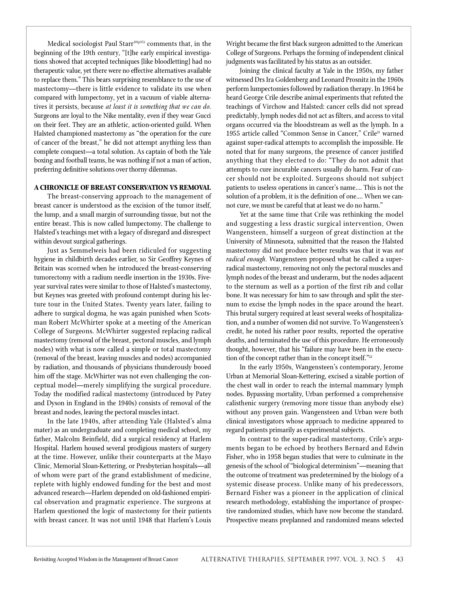Medical sociologist Paul Starr<sup>10(p55)</sup> comments that, in the beginning of the 19th century, "[t]he early empirical investigations showed that accepted techniques [like bloodletting] had no therapeutic value, yet there were no effective alternatives available to replace them." This bears surprising resemblance to the use of mastectomy—there is little evidence to validate its use when compared with lumpectomy, yet in a vacuum of viable alternatives it persists, because *at least it is something that we can do.* Surgeons are loyal to the Nike mentality, even if they wear Gucci on their feet. They are an athletic, action-oriented guild. When Halsted championed mastectomy as "the operation for the cure of cancer of the breast," he did not attempt anything less than complete conquest—a total solution. As captain of both the Yale boxing and football teams, he was nothing if not a man of action, p referring definitive solutions over thorny dilemmas.

#### **A CHRONICLE OF BREAST CONSERVATION VS REMOVAL**

The breast-conserving approach to the management of breast cancer is understood as the excision of the tumor itself, the lump, and a small margin of surrounding tissue, but not the entire breast. This is now called lumpectomy. The challenge to Halsted's teachings met with a legacy of disregard and disrespect within devout surgical gatherings.

Just as Semmelweis had been ridiculed for suggesting hygiene in childbirth decades earlier, so Sir Geoffrey Keynes of Britain was scorned when he introduced the breast-conserving tumorectomy with a radium needle insertion in the 1930s. Fiveyear survival rates were similar to those of Halsted's mastectomy, but Keynes was greeted with profound contempt during his lecture tour in the United States. Twenty years later, failing to adhere to surgical dogma, he was again punished when Scotsman Robert McWhirter spoke at a meeting of the American College of Surgeons. McWhirter suggested replacing radical mastectomy (removal of the breast, pectoral muscles, and lymph nodes) with what is now called a simple or total mastectomy (removal of the breast, leaving muscles and nodes) accompanied by radiation, and thousands of physicians thunderously booed him off the stage. McWhirter was not even challenging the conceptual model—merely simplifying the surgical procedure. Today the modified radical mastectomy (introduced by Patey and Dyson in England in the 1940s) consists of removal of the breast and nodes, leaving the pectoral muscles intact.

In the late 1940s, after attending Yale (Halsted's alma mater) as an undergraduate and completing medical school, my father, Malcolm Beinfield, did a surgical residency at Harlem Hospital. Harlem housed several prodigious masters of surgery at the time. However, unlike their counterparts at the Mayo Clinic, Memorial Sloan-Kettering, or Presbyterian hospitals—all of whom were part of the grand establishment of medicine, replete with highly endowed funding for the best and most advanced research—Harlem depended on old-fashioned empirical observation and pragmatic experience. The surgeons at Harlem questioned the logic of mastectomy for their patients with breast cancer. It was not until 1948 that Harlem's Louis Wright became the first black surgeon admitted to the American College of Surgeons. Perhaps the forming of independent clinical judgments was facilitated by his status as an outsider.

Joining the clinical faculty at Yale in the 1950s, my father witnessed Drs Ira Goldenberg and Leonard Prosnitz in the 1960s perform lumpectomies followed by radiation therapy. In 1964 he heard George Crile describe animal experiments that refuted the teachings of Virchow and Halsted: cancer cells did not spread predictably, lymph nodes did not act as filters, and access to vital organs occurred via the bloodstream as well as the lymph. In a 1955 article called "Common Sense in Cancer," Crile<sup>21</sup> warned against super-radical attempts to accomplish the impossible. He noted that for many surgeons, the presence of cancer justified anything that they elected to do: "They do not admit that attempts to cure incurable cancers usually do harm. Fear of cancer should not be exploited. Surgeons should not subject patients to useless operations in cancer's name.… This is not the solution of a problem, it is the definition of one.… When we cannot cure, we must be careful that at least we do no harm."

Yet at the same time that Crile was rethinking the model and suggesting a less drastic surgical intervention, Owen Wangensteen, himself a surgeon of great distinction at the University of Minnesota, submitted that the reason the Halsted mastectomy did not produce better results was that it was *not radical enough.* Wangensteen proposed what he called a superradical mastectomy, removing not only the pectoral muscles and lymph nodes of the breast and underarm, but the nodes adjacent to the sternum as well as a portion of the first rib and collar bone. It was necessary for him to saw through and split the sternum to excise the lymph nodes in the space around the heart. This brutal surgery required at least several weeks of hospitalization, and a number of women did not survive. To Wangensteen's credit, he noted his rather poor results, reported the operative deaths, and terminated the use of this procedure. He erroneously thought, however, that his "failure may have been in the execution of the concept rather than in the concept itself."<sup>22</sup>

In the early 1950s, Wangensteen's contemporary, Jerome Urban at Memorial Sloan-Kettering, excised a sizable portion of the chest wall in order to reach the internal mammary lymph nodes. Bypassing mortality, Urban performed a comprehensive calisthenic surgery (removing more tissue than anybody else) without any proven gain. Wangensteen and Urban were both clinical investigators whose approach to medicine appeared to regard patients primarily as experimental subjects.

In contrast to the super-radical mastectomy, Crile's arguments began to be echoed by brothers Bernard and Edwin Fisher, who in 1958 began studies that were to culminate in the genesis of the school of "biological determinism"—meaning that the outcome of treatment was predetermined by the biology of a systemic disease process. Unlike many of his predecessors, Bernard Fisher was a pioneer in the application of clinical research methodology, establishing the importance of prospective randomized studies, which have now become the standard. Prospective means preplanned and randomized means selected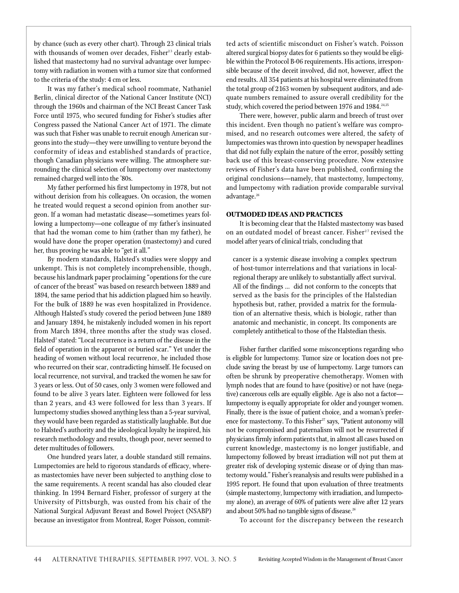by chance (such as every other chart). Through 23 clinical trials with thousands of women over decades, Fisher<sup>23</sup> clearly established that mastectomy had no survival advantage over lumpectomy with radiation in women with a tumor size that conformed to the criteria of the study: 4 cm or less.

It was my father's medical school roommate, Nathaniel Berlin, clinical director of the National Cancer Institute (NCI) through the 1960s and chairman of the NCI Breast Cancer Task Force until 1975, who secured funding for Fisher's studies after Congress passed the National Cancer Act of 1971. The climate was such that Fisher was unable to recruit enough American surgeons into the study—they were unwilling to venture beyond the conformity of ideas and established standards of practice, though Canadian physicians were willing. The atmosphere surrounding the clinical selection of lumpectomy over mastectomy remained charged well into the '80s.

My father performed his first lumpectomy in 1978, but not without derision from his colleagues. On occasion, the women he treated would request a second opinion from another surgeon. If a woman had metastatic disease—sometimes years following a lumpectomy-one colleague of my father's insinuated that had the woman come to him (rather than my father), he would have done the proper operation (mastectomy) and cured her, thus proving he was able to "get it all."

By modern standards, Halsted's studies were sloppy and unkempt. This is not completely incomprehensible, though, because his landmark paper proclaiming "operations for the cure of cancer of the breast" was based on research between 1889 and 1894, the same period that his addiction plagued him so heavily. For the bulk of 1889 he was even hospitalized in Providence. Although Halsted's study covered the period between June 1889 and January 1894, he mistakenly included women in his report from March 1894, three months after the study was closed. Halsted $^{\rm 3}$  stated: "Local recurrence is a return of the disease in the field of operation in the apparent or buried scar." Yet under the heading of women without local recurrence, he included those who recurred on their scar, contradicting himself. He focused on local recurrence, not survival, and tracked the women he saw for 3 years or less. Out of 50 cases, only 3 women were followed and found to be alive 3 years later. Eighteen were followed for less than 2 years, and 43 were followed for less than 3 years. If lumpectomy studies showed anything less than a 5-year survival, they would have been regarded as statistically laughable. But due to Halsted's authority and the ideological loyalty he inspired, his research methodology and results, though poor, never seemed to deter multitudes of followers.

One hundred years later, a double standard still remains. Lumpectomies are held to rigorous standards of efficacy, whereas mastectomies have never been subjected to anything close to the same requirements. A recent scandal has also clouded clear thinking. In 1994 Bernard Fisher, professor of surgery at the University of Pittsburgh, was ousted from his chair of the National Surgical Adjuvant Breast and Bowel Project (NSABP) because an investigator from Montreal, Roger Poisson, committed acts of scientific misconduct on Fisher's watch. Poisson altered surgical biopsy dates for 6 patients so they would be eligible within the Protocol B-06 requirements. His actions, irresponsible because of the deceit involved, did not, however, affect the end results. All 354 patients at his hospital were eliminated from the total group of 2163 women by subsequent auditors, and adequate numbers remained to assure overall credibility for the study, which covered the period between 1976 and 1984.<sup>24,25</sup>

There were, however, public alarm and breech of trust over this incident. Even though no patient's welfare was compromised, and no research outcomes were altered, the safety of lumpectomies was thrown into question by newspaper headlines that did not fully explain the nature of the error, possibly setting back use of this breast-conserving procedure. Now extensive reviews of Fisher's data have been published, confirming the original conclusions—namely, that mastectomy, lumpectomy, and lumpectomy with radiation provide comparable survival advantage.<sup>26</sup>

#### **OUTMODED IDEAS AND PRACTICES**

It is becoming clear that the Halsted mastectomy was based on an outdated model of breast cancer. Fisher<sup>27</sup> revised the model after years of clinical trials, concluding that

cancer is a systemic disease involving a complex spectrum of host-tumor interrelations and that variations in localregional therapy are unlikely to substantially affect survival. All of the findings … did not conform to the concepts that served as the basis for the principles of the Halstedian hypothesis but, rather, provided a matrix for the formulation of an alternative thesis, which is biologic, rather than anatomic and mechanistic, in concept. Its components are completely antithetical to those of the Halstedian thesis.

Fisher further clarified some misconceptions regarding who is eligible for lumpectomy. Tumor size or location does not preclude saving the breast by use of lumpectomy. Large tumors can often be shrunk by preoperative chemotherapy. Women with lymph nodes that are found to have (positive) or not have (negative) cancerous cells are equally eligible. Age is also not a factor lumpectomy is equally appropriate for older and younger women. Finally, there is the issue of patient choice, and a woman's preference for mastectomy. To this Fisher<sup>27</sup> says, "Patient autonomy will not be compromised and paternalism will not be resurrected if physicians firmly inform patients that, in almost all cases based on current knowledge, mastectomy is no longer justifiable, and lumpectomy followed by breast irradiation will not put them at greater risk of developing systemic disease or of dying than mastectomy would." Fisher's reanalysis and results were published in a 1995 report. He found that upon evaluation of three treatments (simple mastectomy, lumpectomy with irradiation, and lumpectomy alone), an average of 60% of patients were alive after 12 years and about 50% had no tangible signs of disease.<sup>26</sup>

To account for the discrepancy between the research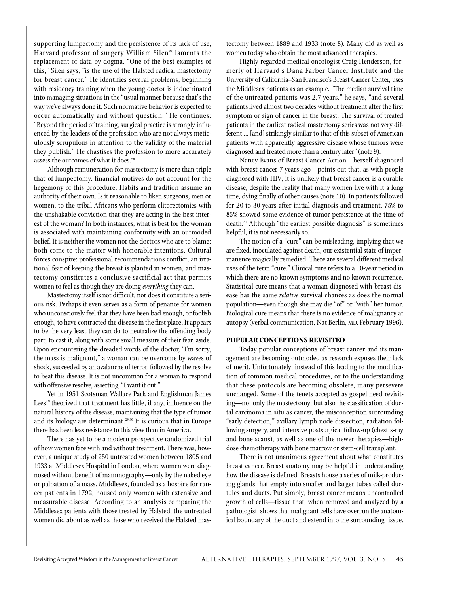supporting lumpectomy and the persistence of its lack of use, Harvard professor of surgery William Silen<sup>28</sup> laments the replacement of data by dogma. "One of the best examples of this," Silen says, "is the use of the Halsted radical mastectomy for breast cancer." He identifies several problems, beginning with residency training when the young doctor is indoctrinated into managing situations in the "usual manner because that's the way we've always done it. Such normative behavior is expected to occur automatically and without question." He continues: "Beyond the period of training, surgical practice is strongly influenced by the leaders of the profession who are not always meticulously scrupulous in attention to the validity of the material they publish." He chastises the profession to more accurately assess the outcomes of what it does.<sup>28</sup>

Although remuneration for mastectomy is more than triple that of lumpectomy, financial motives do not account for the hegemony of this procedure. Habits and tradition assume an authority of their own. Is it reasonable to liken surgeons, men or women, to the tribal Africans who perform clitorectomies with the unshakable conviction that they are acting in the best interest of the woman? In both instances, what is best for the woman is associated with maintaining conformity with an outmoded belief. It is neither the women nor the doctors who are to blame; both come to the matter with honorable intentions. Cultural forces conspire: professional recommendations conflict, an irrational fear of keeping the breast is planted in women, and mastectomy constitutes a conclusive sacrificial act that permits women to feel as though they are doing *everything* they can.

Mastectomy itself is not difficult, nor does it constitute a serious risk. Perhaps it even serves as a form of penance for women who unconsciously feel that they have been bad enough, or foolish enough, to have contracted the disease in the first place. It appears to be the very least they can do to neutralize the offending body part, to cast it, along with some small measure of their fear, aside. Upon encountering the dreaded words of the doctor, "I'm sorry, the mass is malignant," a woman can be overcome by waves of shock, succeeded by an avalanche of terror, followed by the resolve to beat this disease. It is not uncommon for a woman to respond with offensive resolve, asserting, "I want it out."

Yet in 1951 Scotsman Wallace Park and Englishman James Lees<sup>29</sup> theorized that treatment has little, if any, influence on the natural history of the disease, maintaining that the type of tumor and its biology are determinant.<sup>29,30</sup> It is curious that in Europe there has been less resistance to this view than in America.

There has yet to be a modern prospective randomized trial of how women fare with and without treatment. There was, however, a unique study of 250 untreated women between 1805 and 1933 at Middlesex Hospital in London, where women were diagnosed without benefit of mammography—only by the naked eye or palpation of a mass. Middlesex, founded as a hospice for cancer patients in 1792, housed only women with extensive and measurable disease. According to an analysis comparing the Middlesex patients with those treated by Halsted, the untreated women did about as well as those who received the Halsted mastectomy between 1889 and 1933 (note 8). Many did as well as women today who obtain the most advanced therapies.

Highly regarded medical oncologist Craig Henderson, formerly of Harvard's Dana Farber Cancer Institute and the University of California-San Francisco's Breast Cancer Center, uses the Middlesex patients as an example. "The median survival time of the untreated patients was 2.7 years," he says, "and several patients lived almost two decades without treatment after the first symptom or sign of cancer in the breast. The survival of treated patients in the earliest radical mastectomy series was not very different ... [and] strikingly similar to that of this subset of American patients with apparently aggressive disease whose tumors were diagnosed and treated more than a century later" (note 9).

Nancy Evans of Breast Cancer Action—herself diagnosed with breast cancer 7 years ago—points out that, as with people diagnosed with HIV, it is unlikely that breast cancer is a curable disease, despite the reality that many women live with it a long time, dying finally of other causes (note 10). In patients followed for 20 to 30 years after initial diagnosis and treatment, 75% to 85% showed some evidence of tumor persistence at the time of death.<sup>31</sup> Although "the earliest possible diagnosis" is sometimes helpful, it is not necessarily so.

The notion of a "cure" can be misleading, implying that we are fixed, inoculated against death, our existential state of impermanence magically remedied. There are several different medical uses of the term "cure." Clinical cure refers to a 10-year period in which there are no known symptoms and no known recurrence. Statistical cure means that a woman diagnosed with breast disease has the same *relative* survival chances as does the normal population—even though she may die "of" or "with" her tumor. Biological cure means that there is no evidence of malignancy at autopsy (verbal communication, Nat Berlin, MD, February 1996).

#### **POPULAR CONCEPTIONS REVISITED**

Today popular conceptions of breast cancer and its management are becoming outmoded as research exposes their lack of merit. Unfortunately, instead of this leading to the modification of common medical procedures, or to the understanding that these protocols are becoming obsolete, many persevere unchanged. Some of the tenets accepted as gospel need revisiting—not only the mastectomy, but also the classification of ductal carcinoma in situ as cancer, the misconception surrounding "early detection," axillary lymph node dissection, radiation following surgery, and intensive postsurgical follow-up (chest x-ray and bone scans), as well as one of the newer therapies—highdose chemotherapy with bone marrow or stem-cell transplant.

There is not unanimous agreement about what constitutes breast cancer. Breast anatomy may be helpful in understanding how the disease is defined. Breasts house a series of milk-producing glands that empty into smaller and larger tubes called ductules and ducts. Put simply, breast cancer means uncontrolled growth of cells-tissue that, when removed and analyzed by a pathologist, shows that malignant cells have overrun the anatomical boundary of the duct and extend into the surrounding tissue.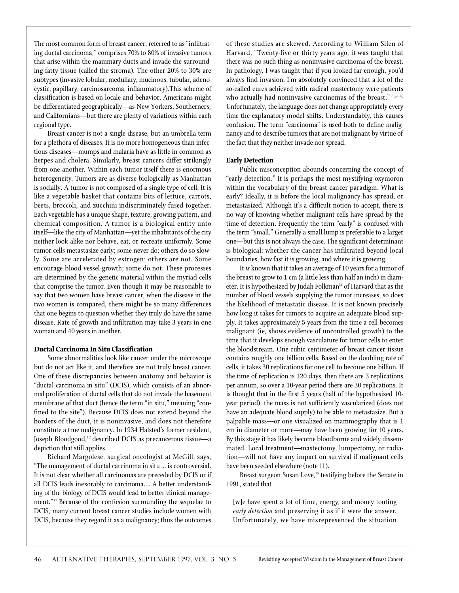The most common form of breast cancer, referred to as "infiltrating ductal carcinoma," comprises 70% to 80% of invasive tumors that arise within the mammary ducts and invade the surrounding fatty tissue (called the stroma). The other 20% to 30% are subtypes (invasive lobular, medullary, mucinous, tubular, adenocystic, papillary, carcinosarcoma, inflammatory).This scheme of classification is based on locale and behavior. Americans might be differentiated geographically—as New Yorkers, Southerners, and Californians—but there are plenty of variations within each regional type.

Breast cancer is not a single disease, but an umbrella term for a plethora of diseases. It is no more homogeneous than infectious diseases—mumps and malaria have as little in common as herpes and cholera. Similarly, breast cancers differ strikingly from one another. Within each tumor itself there is enormous heterogeneity. Tumors are as diverse biologically as Manhattan is socially. A tumor is not composed of a single type of cell. It is like a vegetable basket that contains bits of lettuce, carrots, beets, broccoli, and zucchini indiscriminately fused together. Each vegetable has a unique shape, texture, growing pattern, and chemical composition. A tumor is a biological entity unto itself—like the city of Manhattan—yet the inhabitants of the city neither look alike nor behave, eat, or recreate uniformly. Some tumor cells metastasize early; some never do; others do so slowly. Some are accelerated by estrogen; others are not. Some en courage blood vessel growth; some do not. These processes are determined by the genetic material within the myriad cells that comprise the tumor. Even though it may be reasonable to say that two women have breast cancer, when the disease in the two women is compared, there might be so many differences that one begins to question whether they truly do have the same disease. Rate of growth and infiltration may take 3 years in one woman and 40 years in another.

#### **Ductal Carcinoma In Situ Classification**

Some abnormalities look like cancer under the microscope but do not act like it, and therefore are not truly breast cancer. One of these discrepancies between anatomy and behavior is "ductal carcinoma in situ" (DCIS), which consists of an abnormal proliferation of ductal cells that do not invade the basement membrane of that duct (hence the term "in situ," meaning "confined to the site"). Because DCIS does not extend beyond the borders of the duct, it is noninvasive, and does not therefore constitute a true malignancy. In 1934 Halsted's former resident, Joseph Bloodgood,<sup>32</sup> described DCIS as precancerous tissue—a depiction that still applies.

Richard Margolese, surgical oncologist at McGill, says, "The management of ductal carcinoma in situ … is controversial. It is not clear whether all carcinomas are preceded by DCIS or if all DCIS leads inexorably to carcinoma.… A better understanding of the biology of DCIS would lead to better clinical management."<sup>33</sup> Because of the confusion surrounding the sequelae to DCIS, many current breast cancer studies include women with DCIS, because they regard it as a malignancy; thus the outcomes of these studies are skewed. According to William Silen of Harvard, "Twenty-five or thirty years ago, it was taught that there was no such thing as noninvasive carcinoma of the breast. In pathology, I was taught that if you looked far enough, you'd always find invasion. I'm absolutely convinced that a lot of the so-called cures achieved with radical mastectomy were patients who actually had noninvasive carcinomas of the breast."33(p358) Unfortunately, the language does not change appropriately every time the explanatory model shifts. Understandably, this causes confusion. The term "carcinoma" is used both to define malignancy and to describe tumors that are not malignant by virtue of the fact that they neither invade nor spread.

#### **Early Detection**

Public misconception abounds concerning the concept of "early detection." It is perhaps the most mystifying oxymoron within the vocabulary of the breast cancer paradigm. What is early? Ideally, it is before the local malignancy has spread, or metastasized. Although it's a difficult notion to accept, there is no way of knowing whether malignant cells have spread by the time of detection. Frequently the term "early" is confused with the term "small." Generally a small lump is preferable to a larger one—but this is not always the case. The significant determinant is biological: whether the cancer has infiltrated beyond local boundaries, how fast it is growing, and where it is growing.

It *is* known that it takes an average of 10 years for a tumor of the breast to grow to 1 cm (a little less than half an inch) in diameter. It is hypothesized by Judah Folkman<sup>34</sup> of Harvard that as the number of blood vessels supplying the tumor increases, so does the likelihood of metastatic disease. It is not known precisely how long it takes for tumors to acquire an adequate blood supply. It takes approximately 5 years from the time a cell becomes malignant (ie, shows evidence of uncontrolled growth) to the time that it develops enough vasculature for tumor cells to enter the bloodstream. One cubic centimeter of breast cancer tissue contains roughly one billion cells. Based on the doubling rate of cells, it takes 30 replications for one cell to become one billion. If the time of replication is 120 days, then there are 3 replications per annum, so over a 10-year period there are 30 replications. It is thought that in the first 5 years (half of the hypothesized 10 year period), the mass is not sufficiently vascularized (does not have an adequate blood supply) to be able to metastasize. But a palpable mass—or one visualized on mammography that is 1 cm in diameter or more—may have been growing for 10 years. By this stage it has likely become bloodborne and widely disseminated. Local treatment-mastectomy, lumpectomy, or radiation-will not have any impact on survival if malignant cells have been seeded elsewhere (note 11).

Breast surgeon Susan Love,<sup>35</sup> testifying before the Senate in 1991, stated that

[w]e have spent a lot of time, energy, and money touting *early detection* and preserving it as if it were the answer. Unfortunately, we have misrepresented the situation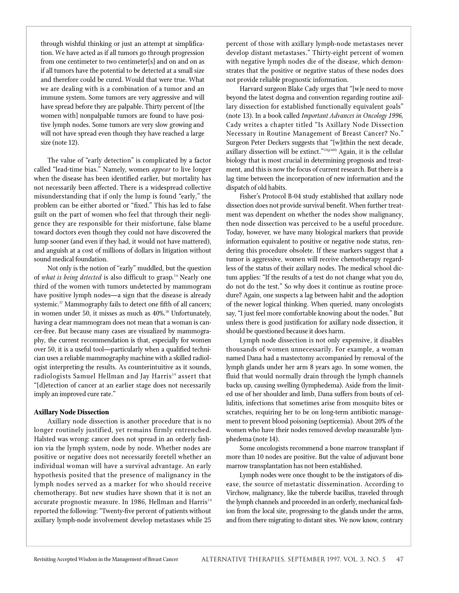through wishful thinking or just an attempt at simplification. We have acted as if all tumors go through progression from one centimeter to two centimeter[s] and on and on as if all tumors have the potential to be detected at a small size and therefore could be cured. Would that were true. What we are dealing with is a combination of a tumor and an immune system. Some tumors are very aggressive and will have spread before they are palpable. Thirty percent of [the women with] nonpalpable tumors are found to have positive lymph nodes. Some tumors are very slow growing and will not have spread even though they have reached a large size (note 12).

The value of "early detection" is complicated by a factor called "lead-time bias." Namely, women *appear* to live longer when the disease has been identified earlier, but mortality has not necessarily been affected. There is a widespread collective misunderstanding that if only the lump is found "early," the problem can be either aborted or "fixed." This has led to false guilt on the part of women who feel that through their negligence they are responsible for their misfortune, false blame toward doctors even though they could not have discovered the lump sooner (and even if they had, it would not have mattered), and anguish at a cost of millions of dollars in litigation without sound medical foundation.

Not only is the notion of "early" muddled, but the question of *what is being detected* is also difficult to grasp.<sup>36</sup> Nearly one third of the women with tumors undetected by mammogram have positive lymph nodes-a sign that the disease is already systemic.<sup>37</sup> Mammography fails to detect one fifth of all cancers; in women under 50, it misses as much as 40%.<sup>38</sup> Unfortunately, having a clear mammogram does not mean that a woman is cancer-free. But because many cases are visualized by mammography, the current recommendation is that, especially for women over 50, it is a useful tool—particularly when a qualified technician uses a reliable mammography machine with a skilled radiologist interpreting the results. As counterintuitive as it sounds, radiologists Samuel Hellman and Jay Harris<sup>39</sup> assert that "[d]etection of cancer at an earlier stage does not necessarily imply an improved cure rate."

#### **Axillary Node Dissection**

Axillary node dissection is another procedure that is no longer routinely justified, yet remains firmly entrenched. Halsted was wrong: cancer does not spread in an orderly fashion via the lymph system, node by node. Whether nodes are positive or negative does not necessarily foretell whether an individual woman will have a survival advantage. An early hypothesis posited that the presence of malignancy in the lymph nodes served as a marker for who should receive chemotherapy. But new studies have shown that it is not an accurate prognostic measure. In 1986, Hellman and Harris<sup>39</sup> reported the following: "Twenty-five percent of patients without axillary lymph-node involvement develop metastases while 25

percent of those with axillary lymph-node metastases never develop distant metastases." Thirty-eight percent of women with negative lymph nodes die of the disease, which demonstrates that the positive or negative status of these nodes does not provide reliable prognostic information.

Harvard surgeon Blake Cady urges that "[w]e need to move beyond the latest dogma and convention regarding routine axillary dissection for established functionally equivalent goals" (note 13). In a book called *Important Advances in Oncology 1996,* Cady writes a chapter titled "Is Axillary Node Dissection Necessary in Routine Management of Breast Cancer? No." Surgeon Peter Deckers suggests that "[w]ithin the next decade, axillary dissection will be extinct."<sup>33(p360)</sup> Again, it is the cellular biology that is most crucial in determining prognosis and treatment, and this is now the focus of current research. But there is a lag time between the incorporation of new information and the dispatch of old habits.

Fisher's Protocol B-04 study established that axillary node dissection does not provide survival benefit. When further treatment was dependent on whether the nodes show malignancy, then node dissection was perceived to be a useful procedure. Today, however, we have many biological markers that provide information equivalent to positive or negative node status, rendering this procedure obsolete. If these markers suggest that a tumor is aggressive, women will receive chemotherapy regardless of the status of their axillary nodes. The medical school dictum applies: "If the results of a test do not change what you do, do not do the test." So why does it continue as routine procedure? Again, one suspects a lag between habit and the adoption of the newer logical thinking. When queried, many oncologists say, "I just feel more comfortable knowing about the nodes." But unless there is good justification for axillary node dissection, it should be questioned because it does harm.

Lymph node dissection is not only expensive, it disables thousands of women unnecessarily. For example, a woman named Dana had a mastectomy accompanied by removal of the lymph glands under her arm 8 years ago. In some women, the fluid that would normally drain through the lymph channels backs up, causing swelling (lymphedema). Aside from the limited use of her shoulder and limb, Dana suffers from bouts of cellulitis, infections that sometimes arise from mosquito bites or scratches, requiring her to be on long-term antibiotic management to prevent blood poisoning (septicemia). About 20% of the women who have their nodes removed develop measurable lymphedema (note 14).

Some oncologists recommend a bone marrow transplant if more than 10 nodes are positive. But the value of adjuvant bone marrow transplantation has not been established.

Lymph nodes were once thought to be the instigators of disease, the source of metastatic dissemination. According to Virchow, malignancy, like the tubercle bacillus, traveled through the lymph channels and proceeded in an orderly, mechanical fashion from the local site, progressing to the glands under the arms, and from there migrating to distant sites. We now know, contrary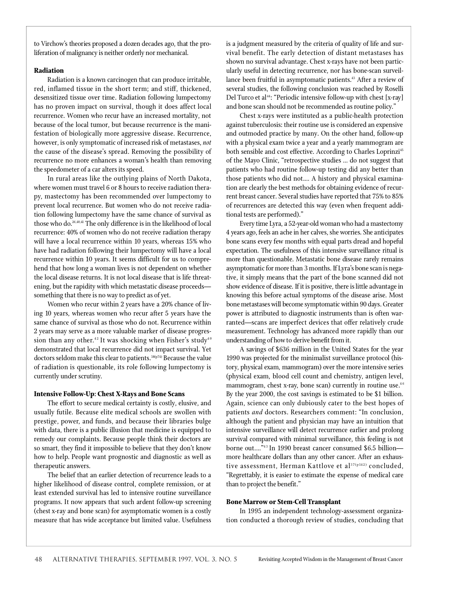to Virchow's theories proposed a dozen decades ago, that the proliferation of malignancy is neither orderly nor mechanical.

#### **Radiation**

Radiation is a known carcinogen that can produce irritable, red, inflamed tissue in the short term; and stiff, thickened, desensitized tissue over time. Radiation following lumpectomy has no proven impact on survival, though it does affect local recurrence. Women who recur have an increased mortality, not because of the local tumor, but because recurrence is the manifestation of biologically more aggressive disease. Recurrence, however, is only symptomatic of increased risk of metastases, *not* the cause of the disease's spread. Removing the possibility of recurrence no more enhances a woman's health than removing the speedometer of a car alters its speed.

In rural areas like the outlying plains of North Dakota, where women must travel 6 or 8 hours to receive radiation therapy, mastectomy has been recommended over lumpectomy to prevent local recurrence. But women who do not receive radiation following lumpectomy have the same chance of survival as those who do.26,40,41 The only difference is in the likelihood of local recurrence: 40% of women who do not receive radiation therapy will have a local recurrence within 10 years, whereas 15% who have had radiation following their lumpectomy will have a local recurrence within 10 years. It seems difficult for us to comprehend that how long a woman lives is not dependent on whether the local disease returns. It is not local disease that is life threatening, but the rapidity with which metastatic disease proceeds something that there is no way to predict as of yet.

Women who recur within 2 years have a 20% chance of living 10 years, whereas women who recur after 5 years have the same chance of survival as those who do not. Recurrence within 2 years may serve as a more valuable marker of disease progression than any other.<sup>42</sup> It was shocking when Fisher's study<sup>40</sup> demonstrated that local recurrence did not impact survival. Yet doctors seldom make this clear to patients.<sup>38(p74)</sup> Because the value of radiation is questionable, its role following lumpectomy is currently under scrutiny.

#### **Intensive Follow-Up: Chest X-Rays and Bone Scans**

The effort to secure medical certainty is costly, elusive, and usually futile. Because elite medical schools are swollen with prestige, power, and funds, and because their libraries bulge with data, there is a public illusion that medicine is equipped to remedy our complaints. Because people think their doctors are so smart, they find it impossible to believe that they don't know how to help. People want prognostic and diagnostic as well as therapeutic answers.

The belief that an earlier detection of recurrence leads to a higher likelihood of disease control, complete remission, or at least extended survival has led to intensive routine surveillance programs. It now appears that such ardent follow-up screening (chest x-ray and bone scan) for asymptomatic women is a costly measure that has wide acceptance but limited value. Usefulness is a judgment measured by the criteria of quality of life and survival benefit. The early detection of distant metastases has shown no survival advantage. Chest x-rays have not been particularly useful in detecting recurrence, nor has bone-scan surveillance been fruitful in asymptomatic patients.<sup>43</sup> After a review of several studies, the following conclusion was reached by Roselli Del Turco et al<sup>44</sup>: "Periodic intensive follow-up with chest [x-ray] and bone scan should not be recommended as routine policy."

Chest x-rays were instituted as a public-health protection against tuberculosis: their routine use is considered an expensive and outmoded practice by many. On the other hand, follow-up with a physical exam twice a year and a yearly mammogram are both sensible and cost effective. According to Charles Loprinzi<sup>45</sup> of the Mayo Clinic, "retrospective studies … do not suggest that patients who had routine follow-up testing did any better than those patients who did not.… A history and physical examination are clearly the best methods for obtaining evidence of recurrent breast cancer. Several studies have reported that 75% to 85% of recurrences are detected this way (even when frequent additional tests are performed)."

Every time Lyra, a 52-year-old woman who had a mastectomy 4 years ago, feels an ache in her calves, she worries. She anticipates bone scans every few months with equal parts dread and hopeful expectation. The usefulness of this intensive surveillance ritual is more than questionable. Metastatic bone disease rarely remains asymptomatic for more than 3 months. If Lyra's bone scan is negative, it simply means that the part of the bone scanned did not show evidence of disease. If it is positive, there is little advantage in knowing this before actual symptoms of the disease arise. Most bone metastases will become symptomatic within 90 days. Greater power is attributed to diagnostic instruments than is often warranted—scans are imperfect devices that offer relatively crude measurement. Technology has advanced more rapidly than our understanding of how to derive benefit from it.

A savings of \$636 million in the United States for the year 1990 was projected for the minimalist surveillance protocol (history, physical exam, mammogram) over the more intensive series (physical exam, blood cell count and chemistry, antigen level, mammogram, chest x-ray, bone scan) currently in routine use. $46$ By the year 2000, the cost savings is estimated to be \$1 billion. Again, science can only dubiously cater to the best hopes of patients *and* doctors. Researchers comment: "In conclusion, although the patient and physician may have an intuition that intensive surveillance will detect recurrence earlier and prolong survival compared with minimal surveillance, this feeling is not borne out...."<sup>43</sup> In 1990 breast cancer consumed \$6.5 billionmore healthcare dollars than any other cancer. After an exhaustive assessment, Herman Kattlove et al<sup>37(p142)</sup> concluded, "Regrettably, it is easier to estimate the expense of medical care than to project the benefit."

#### **Bone Marrow or Stem-Cell Transplant**

In 1995 an independent technology-assessment organization conducted a thorough review of studies, concluding that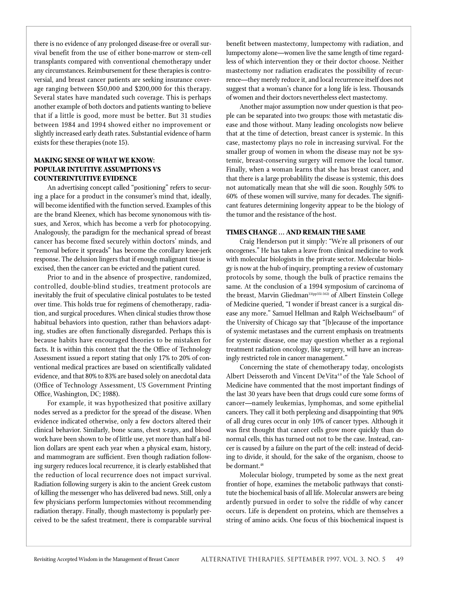there is no evidence of any prolonged disease-free or overall survival benefit from the use of either bone-marrow or stem-cell transplants compared with conventional chemotherapy under any circumstances. Reimbursement for these therapies is controversial, and breast cancer patients are seeking insurance coverage ranging between \$50,000 and \$200,000 for this therapy. Several states have mandated such coverage. This is perhaps another example of both doctors and patients wanting to believe that if a little is good, more must be better. But 31 studies between 1984 and 1994 showed either no improvement or slightly increased early death rates. Substantial evidence of harm exists for these therapies (note 15).

## **MAKING SENSE OF WHAT WE KNOW: POPULAR INTUITIVE ASSUMPTIONS VS COUNTERINTUITIVE EVIDENCE**

An advertising concept called "positioning" refers to securing a place for a product in the consumer's mind that, ideally, will become identified with the function served. Examples of this are the brand Kleenex, which has become synonomous with tissues, and Xerox, which has become a verb for photocopying. Analogously, the paradigm for the mechanical spread of breast cancer has become fixed securely within doctors' minds, and " removal before it spreads" has become the corollary knee-jerk response. The delusion lingers that if enough malignant tissue is excised, then the cancer can be evicted and the patient cured.

Prior to and in the absence of prospective, randomized, controlled, double-blind studies, treatment protocols are inevitably the fruit of speculative clinical postulates to be tested over time. This holds true for regimens of chemotherapy, radiation, and surgical procedures. When clinical studies throw those habitual behaviors into question, rather than behaviors adapting, studies are often functionally disregarded. Perhaps this is because habits have encouraged theories to be mistaken for facts. It is within this context that the the Office of Technology Assessment issued a report stating that only 17% to 20% of conventional medical practices are based on scientifically validated evidence, and that 80% to 83% are based solely on anecdotal data (Office of Technology Assessment, US Government Printing Office, Washington, DC; 1988).

For example, it was hypothesized that positive axillary nodes served as a predictor for the spread of the disease. When evidence indicated otherwise, only a few doctors altered their clinical behavior. Similarly, bone scans, chest x-rays, and blood work have been shown to be of little use, yet more than half a billion dollars are spent each year when a physical exam, history, and mammogram are sufficient. Even though radiation following surgery reduces local recurrence, it is clearly established that the reduction of local recurrence does not impact survival. Radiation following surgery is akin to the ancient Greek custom of killing the messenger who has delivered bad news. Still, only a few physicians perform lumpectomies without recommending radiation therapy. Finally, though mastectomy is popularly perceived to be the safest treatment, there is comparable survival benefit between mastectomy, lumpectomy with radiation, and lumpectomy alone—women live the same length of time regardless of which intervention they or their doctor choose. Neither mastectomy nor radiation eradicates the possibility of recurrence—they merely reduce it, and local recurrence itself does not suggest that a woman's chance for a long life is less. Thousands of women and their doctors nevertheless elect mastectomy.

Another major assumption now under question is that people can be separated into two groups: those with metastatic disease and those without. Many leading oncologists now believe that at the time of detection, breast cancer is systemic. In this case, mastectomy plays no role in increasing survival. For the smaller group of women in whom the disease may not be systemic, breast-conserving surgery will remove the local tumor. Finally, when a woman learns that she has breast cancer, and that there is a large probablility the disease is systemic, this does not automatically mean that she will die soon. Roughly 50% to 60% of these women will survive, many for decades. The significant features determining longevity appear to be the biology of the tumor and the resistance of the host.

### **TIMES CHANGE … AND REMAIN THE SAME**

Craig Henderson put it simply: "We're all prisoners of our oncogenes." He has taken a leave from clinical medicine to work with molecular biologists in the private sector. Molecular biology is now at the hub of inquiry, prompting a review of customary p rotocols by some, though the bulk of practice remains the same. At the conclusion of a 1994 symposium of carcinoma of the breast, Marvin Gliedman<sup>33(pp351-362)</sup> of Albert Einstein College of Medicine queried, "I wonder if breast cancer is a surgical disease any more." Samuel Hellman and Ralph Weichselbaum<sup>47</sup> of the University of Chicago say that "[b]ecause of the importance of systemic metastases and the current emphasis on treatments for systemic disease, one may question whether as a regional treatment radiation oncology, like surgery, will have an increasingly restricted role in cancer management."

Concerning the state of chemotherapy today, oncologists Albert Deisseroth and Vincent DeVita<sup>48</sup> of the Yale School of Medicine have commented that the most important findings of the last 30 years have been that drugs could cure some forms of cancer—namely leukemias, lymphomas, and some epithelial cancers. They call it both perplexing and disappointing that 90% of all drug cures occur in only 10% of cancer types. Although it was first thought that cancer cells grow more quickly than do normal cells, this has turned out not to be the case. Instead, cancer is caused by a failure on the part of the cell: instead of deciding to divide, it should, for the sake of the organism, choose to be dormant.<sup>48</sup>

Molecular biology, trumpeted by some as the next great frontier of hope, examines the metabolic pathways that constitute the biochemical basis of all life. Molecular answers are being ardently pursued in order to solve the riddle of why cancer occurs. Life is dependent on proteins, which are themselves a string of amino acids. One focus of this biochemical inquest is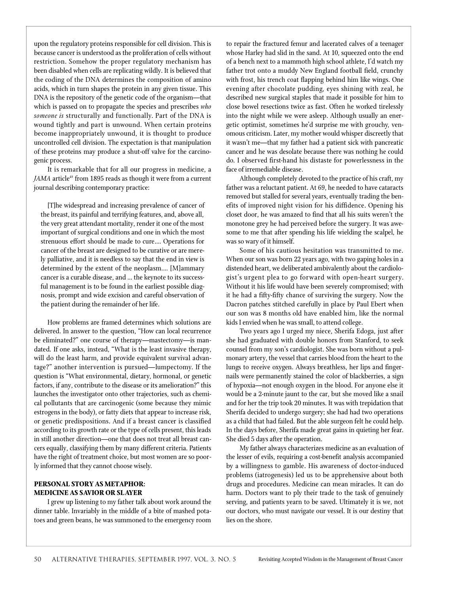upon the regulatory proteins responsible for cell division. This is because cancer is understood as the proliferation of cells without restriction. Somehow the proper regulatory mechanism has been disabled when cells are replicating wildly. It is believed that the coding of the DNA determines the composition of amino acids, which in turn shapes the protein in any given tissue. This DNA is the repository of the genetic code of the organism—that which is passed on to propagate the species and prescribes *who* someone is structurally and functionally. Part of the DNA is wound tightly and part is unwound. When certain proteins become inappropriately unwound, it is thought to produce uncontrolled cell division. The expectation is that manipulation of these proteins may produce a shut-off valve for the carcinogenic process.

It is remarkable that for all our progress in medicine, a *JAMA* article<sup>49</sup> from 1895 reads as though it were from a current journal describing contemporary practice:

[T]he widespread and increasing prevalence of cancer of the breast, its painful and terrifying features, and, above all, the very great attendant mortality, render it one of the most important of surgical conditions and one in which the most strenuous effort should be made to cure.... Operations for cancer of the breast are designed to be curative or are merely palliative, and it is needless to say that the end in view is determined by the extent of the neoplasm.… [M]ammary cancer is a curable disease, and … the keynote to its successful management is to be found in the earliest possible diagnosis, prompt and wide excision and careful observation of the patient during the remainder of her life.

How problems are framed determines which solutions are delivered. In answer to the question, "How can local recurrence be eliminated?" one course of therapy—mastectomy—is mandated. If one asks, instead, "What is the least invasive therapy, will do the least harm, and provide equivalent survival advantage?" another intervention is pursued—lumpectomy. If the question is "What environmental, dietary, hormonal, or genetic factors, if any, contribute to the disease or its amelioration?" this launches the investigator onto other trajectories, such as chemical pollutants that are carcinogenic (some because they mimic estrogens in the body), or fatty diets that appear to increase risk, or genetic predispositions. And if a breast cancer is classified according to its growth rate or the type of cells present, this leads in still another direction—one that does not treat all breast cancers equally, classifying them by many different criteria. Patients have the right of treatment choice, but most women are so poorly informed that they cannot choose wisely.

# **PERSONAL STORY AS METAPHOR: MEDICINE AS SAVIOR OR SLAYER**

I grew up listening to my father talk about work around the dinner table. Invariably in the middle of a bite of mashed potatoes and green beans, he was summoned to the emergency room to repair the fractured femur and lacerated calves of a teenager whose Harley had slid in the sand. At 10, squeezed onto the end of a bench next to a mammoth high school athlete, I'd watch my father trot onto a muddy New England football field, crunchy with frost, his trench coat flapping behind him like wings. One evening after chocolate pudding, eyes shining with zeal, he described new surgical staples that made it possible for him to close bowel resections twice as fast. Often he worked tirelessly into the night while we were asleep. Although usually an energetic optimist, sometimes he'd surprise me with grouchy, venomous criticism. Later, my mother would whisper discreetly that it wasn't me—that my father had a patient sick with pancreatic cancer and he was desolate because there was nothing he could do. I observed first-hand his distaste for powerlessness in the face of irremediable disease.

Although completely devoted to the practice of his craft, my father was a reluctant patient. At 69, he needed to have cataracts removed but stalled for several years, eventually trading the benefits of improved night vision for his diffidence. Opening his closet door, he was amazed to find that all his suits weren't the monotone grey he had perceived before the surgery. It was awesome to me that after spending his life wielding the scalpel, he was so wary of it himself.

Some of his cautious hesitation was transmitted to me. When our son was born 22 years ago, with two gaping holes in a distended heart, we deliberated ambivalently about the cardiologist's urgent plea to go forward with open-heart surgery. Without it his life would have been severely compromised; with it he had a fifty-fifty chance of surviving the surgery. Now the Dacron patches stitched carefully in place by Paul Ebert when our son was 8 months old have enabled him, like the normal kids I envied when he was small, to attend college.

Two years ago I urged my niece, Sherifa Edoga, just after she had graduated with double honors from Stanford, to seek counsel from my son's cardiologist. She was born without a pulmonary artery, the vessel that carries blood from the heart to the lungs to receive oxygen. Always breathless, her lips and fingernails were permanently stained the color of blackberries, a sign of hypoxia—not enough oxygen in the blood. For anyone else it would be a 2-minute jaunt to the car, but she moved like a snail and for her the trip took 20 minutes. It was with trepidation that Sherifa decided to undergo surgery; she had had two operations as a child that had failed. But the able surgeon felt he could help. In the days before, Sherifa made great gains in quieting her fear. She died 5 days after the operation.

My father always characterizes medicine as an evaluation of the lesser of evils, requiring a cost-benefit analysis accompanied by a willingness to gamble. His awareness of doctor-induced problems (iatrogenesis) led us to be apprehensive about both drugs and procedures. Medicine can mean miracles. It can do harm. Doctors want to ply their trade to the task of genuinely serving, and patients yearn to be saved. Ultimately it is we, not our doctors, who must navigate our vessel. It is our destiny that lies on the shore.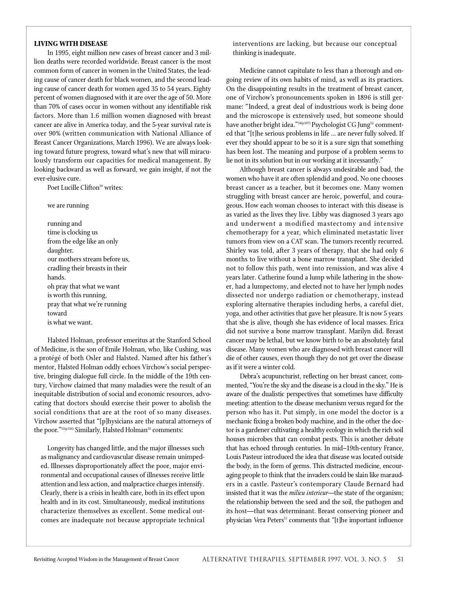#### **LIVING WITH DISEASE**

In 1995, eight million new cases of breast cancer and 3 million deaths were recorded worldwide. Breast cancer is the most common form of cancer in women in the United States, the leading cause of cancer death for black women, and the second leading cause of cancer death for women aged 35 to 54 years. Eighty percent of women diagnosed with it are over the age of 50. More than 70% of cases occur in women without any identifiable risk factors. More than 1.6 million women diagnosed with breast cancer are alive in America today, and the 5-year survival rate is over 90% (written communication with National Alliance of Breast Cancer Organizations, March 1996). We are always looking toward future progress, toward what's new that will miraculously transform our capacities for medical management. By looking backward as well as forward, we gain insight, if not the ever-elusive cure.

Poet Lucille Clifton<sup>50</sup> writes:

we are running

running and time is clocking us from the edge like an only daughter. our mothers stream before us, cradling their breasts in their hands. oh pray that what we want is worth this running, pray that what we're running toward is what we want.

Halsted Holman, professor emeritus at the Stanford School of Medicine, is the son of Emile Holman, who, like Cushing, was a protégé of both Osler and Halsted. Named after his father's mentor, Halsted Holman oddly echoes Virchow's social perspective, bringing dialogue full circle. In the middle of the 19th century, Virchow claimed that many maladies were the result of an inequitable distribution of social and economic resources, advocating that doctors should exercise their power to abolish the social conditions that are at the root of so many diseases. Virchow asserted that "[p]hysicians are the natural attorneys of the poor."<sup>11(p316)</sup> Similarly, Halsted Holman<sup>51</sup> comments:

Longevity has changed little, and the major illnesses such as malignancy and cardiovascular disease remain unimpeded. Illnesses disproportionately affect the poor, major environmental and occupational causes of illnesses receive little attention and less action, and malpractice charges intensify. Clearly, there is a crisis in health care, both in its effect upon health and in its cost. Simultaneously, medical institutions characterize themselves as excellent. Some medical outcomes are inadequate not because appropriate technical interventions are lacking, but because our conceptual thinking is inadequate.

Medicine cannot capitulate to less than a thorough and ongoing review of its own habits of mind, as well as its practices. On the disappointing results in the treatment of breast cancer, one of Virchow's pronouncements spoken in 1896 is still germane: "Indeed, a great deal of industrious work is being done and the microscope is extensively used, but someone should have another bright idea."<sup>14(p107)</sup> Psychologist CG Jung<sup>52</sup> commented that "[t]he serious problems in life … are never fully solved. If ever they should appear to be so it is a sure sign that something has been lost. The meaning and purpose of a problem seems to lie not in its solution but in our working at it incessantly."

Although breast cancer is always undesirable and bad, the women who have it are often splendid and good. No one chooses breast cancer as a teacher, but it becomes one. Many women struggling with breast cancer are heroic, powerful, and courageous. How each woman chooses to interact with this disease is as varied as the lives they live. Libby was diagnosed 3 years ago and underwent a modified mastectomy and intensive chemotherapy for a year, which eliminated metastatic liver tumors from view on a CAT scan. The tumors recently recurred. Shirley was told, after 3 years of therapy, that she had only 6 months to live without a bone marrow transplant. She decided not to follow this path, went into remission, and was alive 4 years later. Catherine found a lump while lathering in the shower, had a lumpectomy, and elected not to have her lymph nodes dissected nor undergo radiation or chemotherapy, instead exploring alternative therapies including herbs, a careful diet, yoga, and other activities that gave her pleasure. It is now 5 years that she is alive, though she has evidence of local masses. Erica did not survive a bone marrow transplant. Marilyn did. Breast cancer may be lethal, but we know birth to be an absolutely fatal disease. Many women who are diagnosed with breast cancer will die of other causes, even though they do not get over the disease as if it were a winter cold.

Debra's acupuncturist, reflecting on her breast cancer, commented, "You're the sky and the disease is a cloud in the sky." He is aware of the dualistic perspectives that sometimes have difficulty meeting: attention to the disease mechanism versus regard for the person who has it. Put simply, in one model the doctor is a mechanic fixing a broken body machine, and in the other the doctor is a gardener cultivating a healthy ecology in which the rich soil houses microbes that can combat pests. This is another debate that has echoed through centuries. In mid-19th-century France, Louis Pasteur introduced the idea that disease was located outside the body, in the form of germs. This distracted medicine, encouraging people to think that the invaders could be slain like marauders in a castle. Pasteur's contemporary Claude Bernard had insisted that it was the *milieu interieur—*the state of the organism; the relationship between the seed and the soil, the pathogen and its host—that was determinant. Breast conserving pioneer and physician Vera Peters<sup>53</sup> comments that "[t]he important influence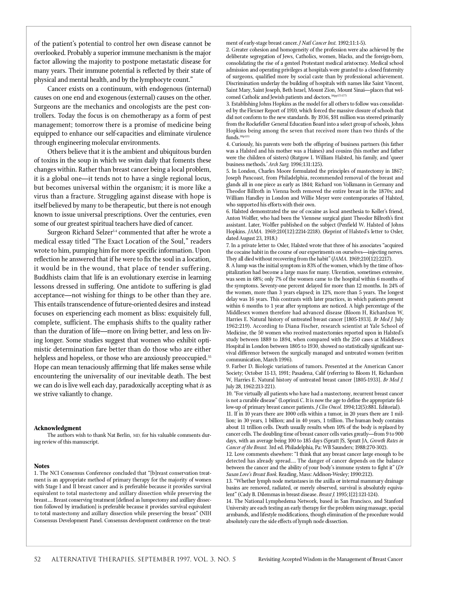of the patient's potential to control her own disease cannot be overlooked. Probably a superior immune mechanism is the major factor allowing the majority to postpone metastatic disease for many years. Their immune potential is reflected by their state of physical and mental health, and by the lymphocyte count."

Cancer exists on a continuum, with endogenous (internal) causes on one end and exogenous (external) causes on the other. Surgeons are the mechanics and oncologists are the pest controllers. Today the focus is on chemotherapy as a form of pest management; tomorrow there is a promise of medicine being equipped to enhance our self-capacities and eliminate virulence through engineering molecular environments.

Others believe that it is the ambient and ubiquitous burden of toxins in the soup in which we swim daily that foments these changes within. Rather than breast cancer being a local problem, it is a global one—it tends not to have a single regional locus, but becomes universal within the organism; it is more like a virus than a fracture. Struggling against disease with hope is itself believed by many to be therapeutic, but there is not enough known to issue universal prescriptions. Over the centuries, even some of our greatest spiritual teachers have died of cancer.

Surgeon Richard Selzer<sup>54</sup> commented that after he wrote a medical essay titled "The Exact Location of the Soul," readers wrote to him, pumping him for more specific information. Upon reflection he answered that if he were to fix the soul in a location, it would be in the wound, that place of tender suffering. Buddhists claim that life is an evolutionary exercise in learning lessons dressed in suffering. One antidote to suffering is glad acceptance—not wishing for things to be other than they are . This entails transcendence of future-oriented desires and instead focuses on experiencing each moment as bliss: exquisitely full, complete, sufficient. The emphasis shifts to the quality rather than the duration of life—more on living better, and less on living longer. Some studies suggest that women who exhibit optimistic determination fare better than do those who are either helpless and hopeless, or those who are anxiously preoccupied.<sup>55</sup> Hope can mean tenaciously affirming that life makes sense while encountering the universality of our inevitable death. The best we can do is live well each day, paradoxically accepting what *is* as we strive valiantly to change.

#### **Acknowledgment**

The authors wish to thank Nat Berlin, MD, for his valuable comments during review of this manuscript.

#### **Notes**

1. The NCI Consensus Conference concluded that "[b]reast conservation treatment is an appropriate method of primary therapy for the majority of women with Stage I and II breast cancer and is preferable because it provides survival equivalent to total mastectomy and axillary dissection while preserving the breast.... Breast conserving treatment [defined as lumpectomy and axillary dissection followed by irradiation] is preferable because it provides survival equivalent to total mastectomy and axillary dissection while preserving the breast" (NIH Consensus Development Panel. Consensus development conference on the treatment of early-stage breast cancer. *J Natl Cancer Inst*. 1992;11:1-5).

2. Greater cohesion and homogeneity of the profession were also achieved by the deliberate segregation of Jews, Catholics, women, blacks, and the foreign-born, consolidating the rise of a genteel Protestant medical aristocracy. Medical school admission and operating privileges at hospitals were granted to a closed fraternity of surgeons, qualified more by social caste than by professional achievement. Discrimination underlay the building of hospitals with names like Saint Vincent, Saint Mary, Saint Joseph, Beth Israel, Mount Zion, Mount Sinai--places that welcomed Catholic and Jewish patients and doctors.<sup>10(pp173-177)</sup>

3. Establishing Johns Hopkins as the model for all others to follow was consolidated by the Flexner Report of 1910, which forced the massive closure of schools that did not conform to the new standards. By 1936, \$91 million was steered primarily from the Rockefeller General Education Board into a select group of schools, Johns Hopkins being among the seven that received more than two thirds of the  $\int$  funds  $^{10(p121)}$ 

4. Curiously, his parents were both the offspring of business partners (his father was a Halsted and his mother was a Haines) and cousins (his mother and father were the children of sisters) (Rutgow I. William Halsted, his family, and 'queer business methods.' Arch Surg. 1996;131:125).

5. In London, Charles Moore formulated the principles of mastectomy in 1867; Joseph Pancoast, from Philadelphia, recommended removal of the breast and glands all in one piece as early as 1844; Richard von Volkmann in Germany and Theodor Billroth in Vienna both removed the entire breast in the 1870s; and William Handley in London and Willie Meyer were contemporaries of Halsted, who supported his efforts with their own.

6. Halsted demonstrated the use of cocaine as local anesthesia to Koller's friend, Anton Wolfler, who had been the Viennese surgical giant Theodor Billroth's first assistant. Later, Wolfler published on the subject (Penfield W. Halsted of Johns Hopkins. *JAMA*. 1969;210[12]:2214-2218). (Reprint of Halsted's letter to Osler, dated August 23, 1918.)

7. In a private letter to Osler, Halsted wrote that three of his associates "acquired the cocaine habit in the course of our experiments on ourselves--injecting nerves. They all died without recovering from the habit" (*JAMA*. 1969;210[12]:2217).

8. A lump was the initial symptom in 83% of the women, which by the time of hospitalization had become a large mass for many. Ulceration, sometimes extensive, was seen in 68%; only 7% of the women came to the hospital within 6 months of the symptoms. Seventy-one percent delayed for more than 12 months. In 24% of the women, more than 3 years elapsed; in 12%, more than 5 years. The longest delay was 16 years. This contrasts with later practices, in which patients present within 6 months to 1 year after symptoms are noticed. A high percentage of the Middlesex women therefore had advanced disease (Bloom H, Richardson W, Harries E. Natural history of untreated breast cancer [1805-1933]. *Br Med J.* July 1962:219). According to Diana Fischer, research scientist at Yale School of Medicine, the 50 women who received mastectomies reported upon in Halsted's study between 1889 to 1894, when compared with the 250 cases at Middlesex Hospital in London between 1805 to 1930, showed no statistically significant survival difference between the surgically managed and untreated women (written communication, March 1996).

9. Farber D. Biologic variations of tumors. Presented at the American Cancer Society; October 11-13, 1991; Pasadena, Calif (referring to Bloom H, Richardson W, Harries E. Natural history of untreated breast cancer [1805-1933]. *Br Med J.* July 28, 1962:213-221).

10. "For virtually all patients who have had a mastectomy, recurrent breast cancer is not a curable disease" (Loprinzi C. It is now the age to define the appropriate follow-up of primary breast cancer patients. *J Clin Oncol*. 1994;12(5):881. Editorial). 11. If in 10 years there are 1000 cells within a tumor, in 20 years there are 1 million; in 30 years, 1 billion; and in 40 years, 1 trillion. The human body contains about 11 trillion cells. Death usually results when 10% of the body is replaced by cancer cells. The doubling time of breast cancer cells varies greatly-from 9 to 900 days, with an average being 100 to 185 days (Spratt JS, Spratt JA, *Growth Rates in* Cancer of the Breast. 3rd ed. Philadelphia, Pa: WB Saunders; 1988:270-302).

12. Love comments elsewhere: "I think that any breast cancer large enough to be detected has already spread.… The danger of cancer depends on the balance between the cancer and the ability of your body's immune system to fight it" (*Dr* Susan Love's Breast Book. Reading, Mass: Addison-Wesley; 1990:212).

13. "Whether lymph node metastases in the axilla or internal mammary drainage basins are removed, radiated, or merely observed, survival is absolutely equivalent" (Cady B. Dilemmas in breast disease. *Breast J.* 1995;1[2]:121-124).

14. The National Lymphedema Network, based in San Francisco, and Stanford University are each testing an early therapy for the problem using massage, special armbands, and lifestyle modifications, though elimination of the procedure would absolutely cure the side effects of lymph node dissection.